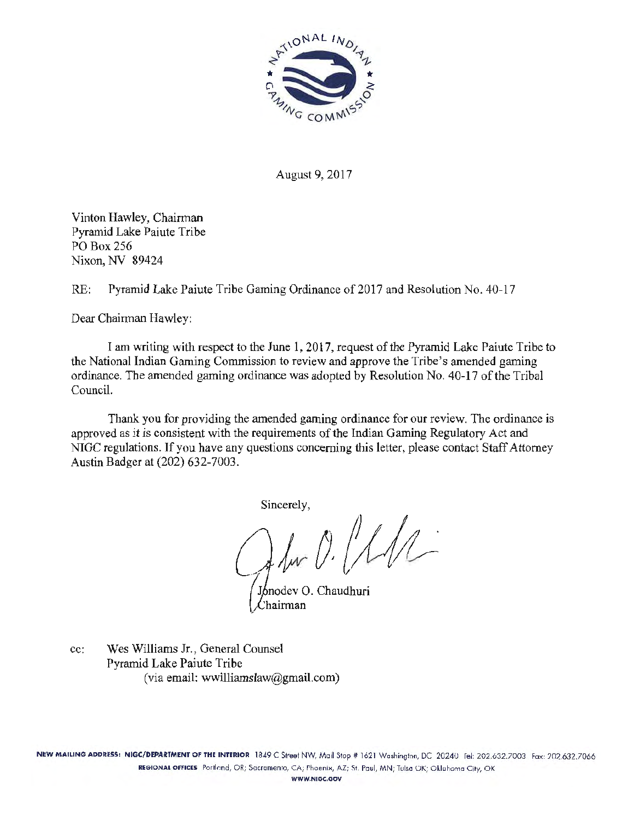

August 9, 2017

Vinton Hawley, Chairman Pyramid Lake Paiute Tribe PO Box256 Nixon, NV 89424

RE: Pyramid Lake Paiute Tribe Gaming Ordinance of 2017 and Resolution No. 40-17

Dear Chairman Hawley:

I am writing with respect to the June 1, 2017, request of the Pyramid Lake Paiute Tribe to the National Indian Gaming Commission to review and approve the Tribe's amended gaming ordinance. The amended gaming ordinance was adopted by Resolution No. 40-17 of the Tribal Council.

Thank you for providing the amended gaming ordinance for our review. The ordinance is approved as it is consistent with the requirements of the Indian Gaming Regulatory Act and NIGC regulations. If you have any questions concerning this letter, please contact Staff Attorney Austin Badger at (202) 632-7003.

Sincerely,

 $f_{\mu\nu}$   $0.111$ 

Jonodev O. Chaudhuri hairman!

cc: Wes Williams Jr., General Counsel Pyramid Lake Paiute Tribe (via email: wwilliamslaw $@g$ gmail.com)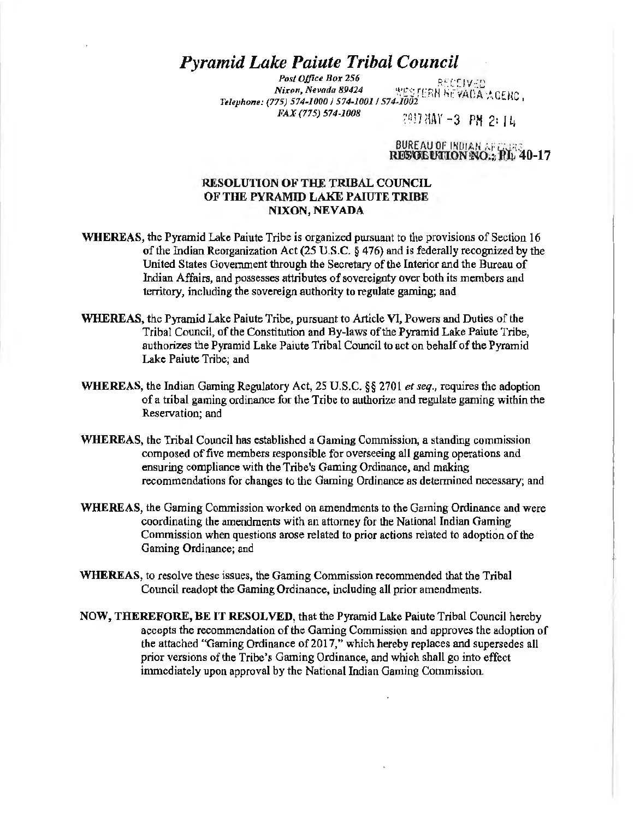# *Pyramid Lake Paiute Tribal Council*

*P\_osl Office Box 256* • . .CF: C~ I y :·:C *Nixon, Nevada 89424* '.1 .'E :: rt:. t~ hr~:iAO *'\ ··•CF* I'" . *Telephone: (775) 574-1000 I 574-10011 S74-1002* · ,. '' '- ti., '  $FAX (775) 574-1008$  <br>  $7917$  HAY  $-3$  PM 2: 1 ii

BUREAU OF INDIAN AF CURS restreution no.: PL 40-17

# RESOLUTION OF THE TRIBAL COUNCIL OF THE PYRAMID LAKE PAIUTE TRIBE NIXON, NEVADA

- WHEREAS, the Pyramid Lake Paiute Tribe is organized pursuant to the provisions of Section 16 of the Indian Reorganization Act (25 U.S.C. § 476) and is federally recognized by the United States Government through the Secretary of the Interior and the Bureau of Indian Affairs, and possesses attributes of sovereignty over both its members and territory, including the sovereign authority to regulate gaming; and
- WHEREAS, the Pyramid Lake Paiute Tribe, pursuant to Article VI, Powers and Duties of the Tribal Council, of the Constitution and By-laws of the Pyramid Lake Paiute Tribe, authorizes the Pyramid Lake Paiute Tribal Council to act on behalf of the Pyramid Lake Paiute Tribe; and
- WHEREAS, the Indian Gaming Regulatory Act, 25 U.S.C. §§ 2701 *et seq.,* requires the adoption of a tribal gaming ordinance for the Tribe to authorize and regulate gaming within the Reservation; and
- WHEREAS, the Tribal Council has established a Gaming Commission, a standing commission composed of five members responsible for overseeing all gaming operations and ensuring compliance with the Tribe's Gaming Ordinance, and making recommendations for changes to the Gaming Ordinance as detennined necessary; and
- WHEREAS, the Gaming Commission worked on amendments to the Gaming Ordinance and were coordinating the amendments with an attorney for the National Indian Gaming Commission when questions arose related to prior actions related to adoption of the Gaming Ordinance; and
- WHEREAS, to resolve these issues, the Gaming Commission recommended that the Tribal Council readopt the Gaming Ordinance, including all prior amendments.
- NOW, THEREFORE, BE IT RESOLVED, that the Pyramid Lake Paiute Tribal Council hereby accepts the recommendation of the Gaming Commission and approves the adoption of the attached "Gaming Ordinance of 2017," which hereby replaces and supersedes all prior versions of the Tribe's Gaming Ordinance, and which shall go into effect immediately upon approval by the National Indian Gaming Commission.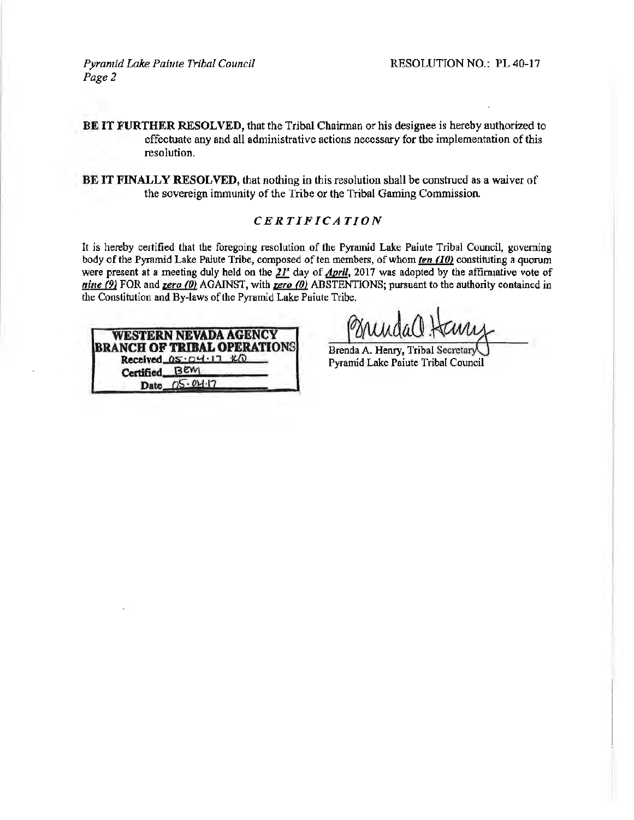*Pyramid Lake Paiute Tribal Council Page2* 

BE IT FURTHER RESOLVED, that the Tribal Chairman or his designee is hereby authorized to effectuate any and all administrative actions necessary for the implementation of this resolution.

BE IT FINALLY RESOLVED, that nothing in this resolution shall be construed as a waiver of the sovereign immunity of the Tribe or the Tribal Gaming Commission.

# *CERTIFICATION*

It is hereby certified that the foregoing resolution of the Pyramid Lake Paiute Tribal Council, governing body of the Pyramid Lake Paiute Tribe, composed often members, of whom *ten* (10) constituting a quorum were present at a meeting duly held on the  $21^s$  day of April, 2017 was adopted by the affirmative vote of *nine* (9) FOR and *zero* (0) AGAINST, with *zero* (0) ABSTENTIONS; pursuant to the authority contained in the Constitution and By-laws of the Pyramid Lake Paiute Tribe.



Brenda A. Henry, Tribal Secreta Pyramid Lake Paiute Tribal Council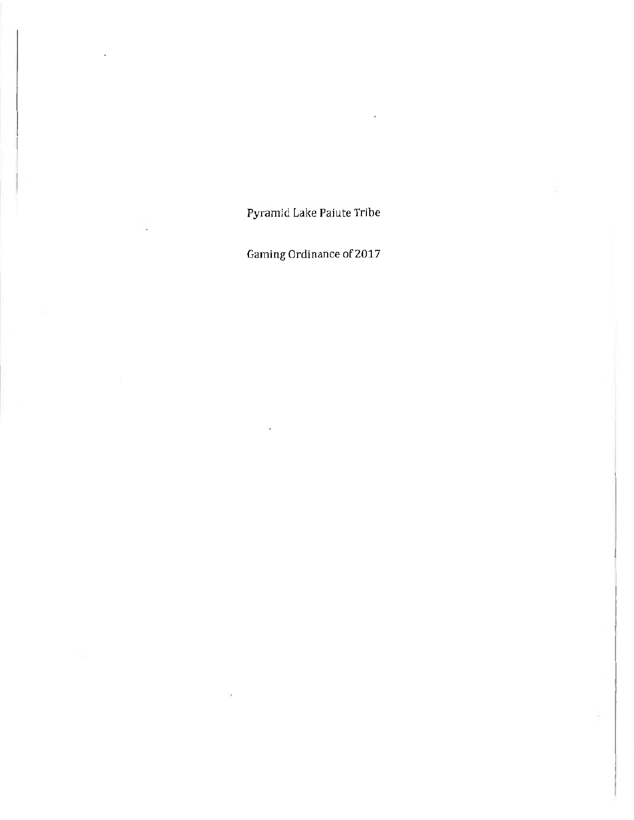Pyramid Lake Paiute Tribe

Gaming Ordinance of 2017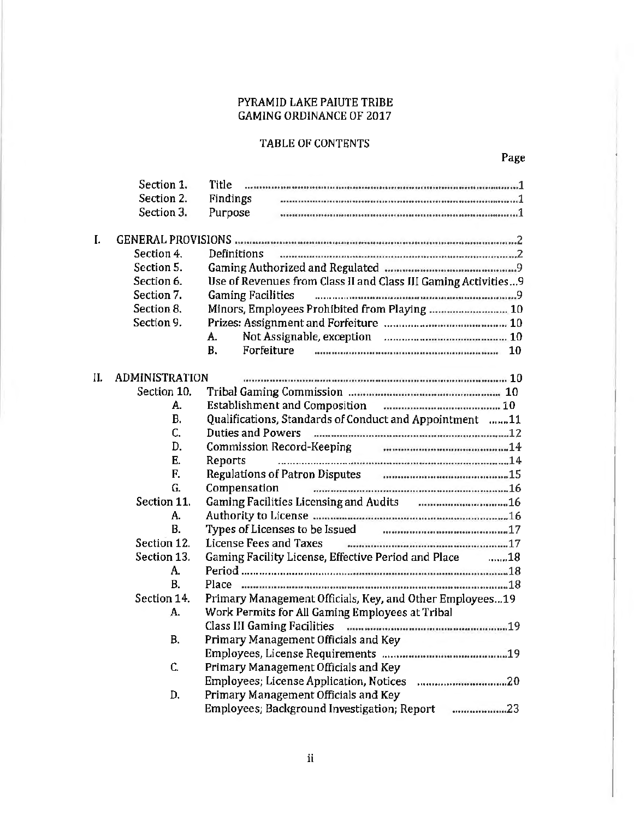# PYRAMID LAKE PAIUTE TRIBE GAMING ORDINANCE OF 2017

# TABLE OF CONTENTS

|     | Section 1.<br>Section 2.<br>Section 3. | Title<br><b>Findings</b><br>Purpose                                                      |  |
|-----|----------------------------------------|------------------------------------------------------------------------------------------|--|
| I.  |                                        |                                                                                          |  |
|     | Section 4.                             | Definitions                                                                              |  |
|     | Section 5.                             |                                                                                          |  |
|     | Section 6.                             | Use of Revenues from Class II and Class III Gaming Activities 9                          |  |
|     | Section 7.                             | <b>Gaming Facilities</b>                                                                 |  |
|     | Section 8.                             | Minors, Employees Prohibited from Playing  10                                            |  |
|     | Section 9.                             |                                                                                          |  |
|     |                                        | A.                                                                                       |  |
|     |                                        | <b>B.</b><br>Forfeiture<br>10                                                            |  |
|     |                                        |                                                                                          |  |
| II. | <b>ADMINISTRATION</b>                  |                                                                                          |  |
|     | Section 10.                            |                                                                                          |  |
|     | А.                                     |                                                                                          |  |
|     | <b>B.</b>                              | Qualifications, Standards of Conduct and Appointment 11                                  |  |
|     | C.                                     | Duties and Powers manufactured contains and contained and 22                             |  |
|     | D.                                     | Commission Record-Keeping Fig. 2016. The Commission Record-Keeping                       |  |
|     | Ε.                                     | Reports                                                                                  |  |
|     | F.                                     | Regulations of Patron Disputes Communications and annual 15                              |  |
|     | G.                                     | Compensation                                                                             |  |
|     | Section 11.                            |                                                                                          |  |
|     | А.                                     | Authority to License manumental communications are more 16                               |  |
|     | В.                                     | Types of Licenses to be Issued Fig. 2016. The Street of Licenses to be Issued Fig. 2016. |  |
|     | Section 12.                            | License Fees and Taxes                                                                   |  |
|     | Section 13.                            | Gaming Facility License, Effective Period and Place<br>……18                              |  |
|     | А.                                     |                                                                                          |  |
|     | <b>B.</b>                              | Place monomonium monomum monomum monomum monomu18                                        |  |
|     | Section 14.                            | Primary Management Officials, Key, and Other Employees19                                 |  |
|     | А.                                     | Work Permits for All Gaming Employees at Tribal                                          |  |
|     |                                        | Class III Gaming Facilities manual communication communication                           |  |
|     | <b>B.</b>                              | Primary Management Officials and Key                                                     |  |
|     |                                        |                                                                                          |  |
|     | C.                                     | Primary Management Officials and Key                                                     |  |
|     |                                        |                                                                                          |  |
|     | D.                                     | Primary Management Officials and Key                                                     |  |
|     |                                        | Employees; Background Investigation; Report 23                                           |  |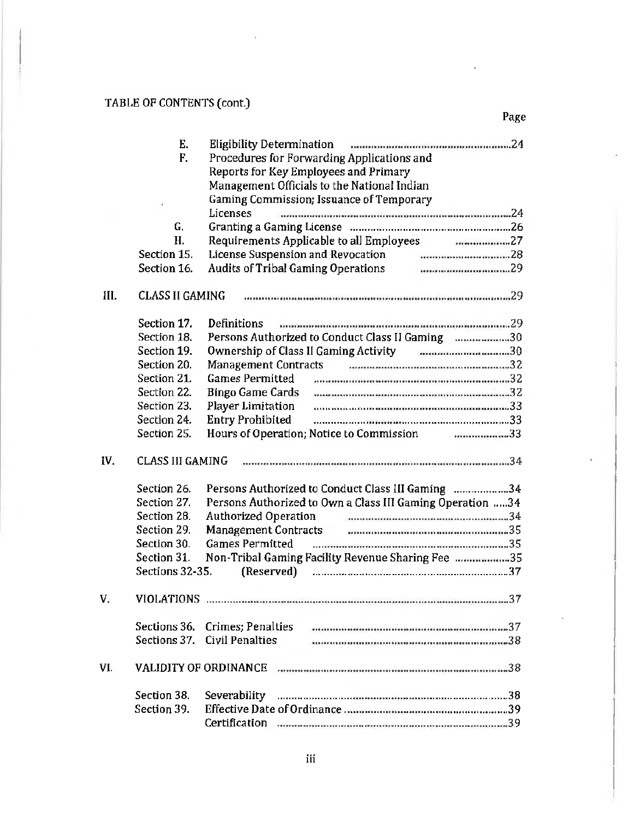# TABLE OF CONTENTS (cont.)

|      | Е.                      | <b>Eligibility Determination</b>                          |  |
|------|-------------------------|-----------------------------------------------------------|--|
|      | F.                      | Procedures for Forwarding Applications and                |  |
|      |                         | Reports for Key Employees and Primary                     |  |
|      |                         | Management Officials to the National Indian               |  |
|      |                         | Gaming Commission; Issuance of Temporary                  |  |
|      |                         | Licenses                                                  |  |
|      | G.                      |                                                           |  |
|      | H.                      | Requirements Applicable to all Employees<br>27            |  |
|      | Section 15.             |                                                           |  |
|      | Section 16.             | <b>Audits of Tribal Gaming Operations</b>                 |  |
|      |                         |                                                           |  |
| III. | <b>CLASS II GAMING</b>  |                                                           |  |
|      | Section 17.             | <b>Definitions</b>                                        |  |
|      | Section 18.             | Persons Authorized to Conduct Class II Gaming 30          |  |
|      | Section 19.             |                                                           |  |
|      | Section 20.             | <b>Management Contracts</b>                               |  |
|      | Section 21.             | <b>Games Permitted</b>                                    |  |
|      | Section 22.             | <b>Bingo Game Cards</b>                                   |  |
|      | Section 23.             | Player Limitation                                         |  |
|      | Section 24.             | <b>Entry Prohibited</b>                                   |  |
|      | Section 25.             |                                                           |  |
|      |                         | Hours of Operation; Notice to Commission 33               |  |
| IV.  | <b>CLASS III GAMING</b> |                                                           |  |
|      | Section 26.             | Persons Authorized to Conduct Class III Gaming 34         |  |
|      | Section 27.             | Persons Authorized to Own a Class III Gaming Operation 34 |  |
|      | Section 28.             |                                                           |  |
|      | Section 29.             | <b>Management Contracts</b>                               |  |
|      | Section 30.             | <b>Games Permitted</b>                                    |  |
|      | Section 31.             | Non-Tribal Gaming Facility Revenue Sharing Fee 35         |  |
|      | Sections 32-35.         | (Reserved)                                                |  |
|      |                         |                                                           |  |
| V.   |                         |                                                           |  |
|      |                         | Sections 36. Crimes; Penalties                            |  |
|      | Sections 37.            | <b>Civil Penalties</b>                                    |  |
|      |                         |                                                           |  |
| VI.  |                         | <b>VALIDITY OF ORDINANCE</b>                              |  |
|      | Section 38.             | Severability                                              |  |
|      | Section 39.             |                                                           |  |
|      |                         |                                                           |  |

Page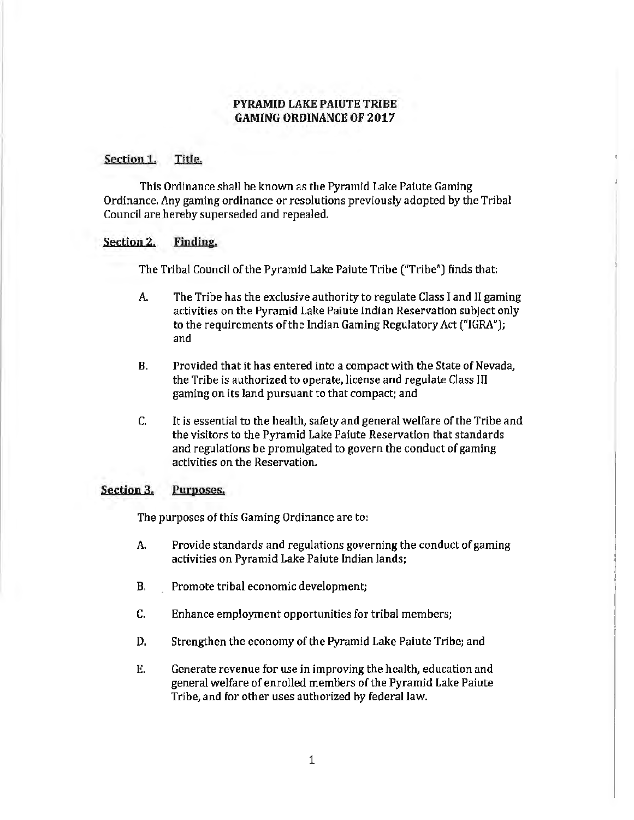# PYRAMID LAKE PAIUTE TRIBE GAMING ORDINANCE OF 2017

# Section 1. Title.

This Ordinance shall be known as the Pyramid Lake Paiute Gaming Ordinance. Any gaming ordinance or resolutions previously adopted by the Tribal Council are hereby superseded and repealed.

#### Section 2. Finding.

The Ttibal Council of the Pyramid Lake Paiute Tribe ("Tribe") finds that:

- A. The Tribe has the exclusive authority to regulate Class I and JI gaming activities on the Pyramid Lake Paiute Indian Reservation subject only to the requirements of the Indian Gaming Regulatory Act ("IGRA"); and
- B. Provided that it has entered into a compact with the State of Nevada, the Tribe is authorized to operate, license and regulate Class III gaming on its land pursuant to that compact; and
- C. It is essential to the health, safety and general welfare of the Tribe and the visitors to the Pyramid Lake Paiute Reservation that standards and regulations be promulgated to govern the conduct of gaming activities on the Reservation.

#### Section 3. Purposes.

The purposes of this Gaming Ordinance are to:

- A. Provide standards and regulations governing the conduct of gaming activities on Pyramid Lake Paiute Indian lands;
- B. Promote tribal economic development;
- C. Enhance employment opportunities for tribal members;
- D. Strengthen the economy of the Pyramid Lake Paiute Tribe; and
- E. Generate revenue for use in improving the health, education and general welfare of enrolled members of the Pyramid Lake Paiute Tribe, and for other uses authorized by federal law.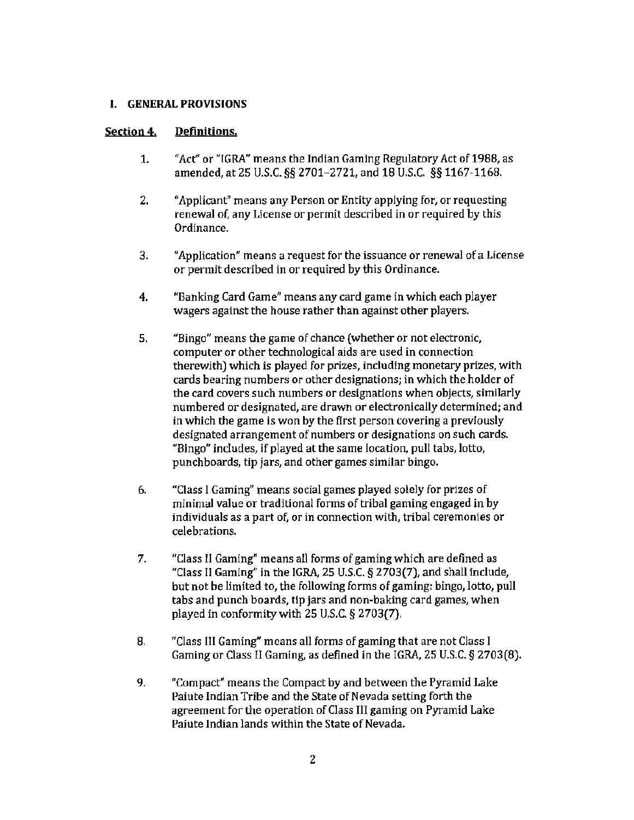# I. GENERAL PROVISIONS

# Section 4. Definitions.

- 1. ''Act" or "IGRA" means the Indian Gaming Regulatory Act of 1988, as amended, at 25 U.S.C. *§§* 2701-2721, and 18 U.S.C. §§ 1167-1168.
- 2. "Applicant" means any Person or Entity applying for, or requesting renewal of, any License or permit described in or required by this Ordinance.
- 3. "Application" means a request for the issuance or renewal of a License or permit described in or required by this Ordinance.
- 4. "Banking Card Game" means any card game in which each player wagers against the house rather than against other players.
- 5. "Bingo" means the game of chance (whether or not electronic, computer or other technological aids are used in connection therewith) which is played for prizes, including monetary prizes, with cards bearing numbers or other designations; in which the holder of the card covers such numbers or designations when objects, similarly numbered or designated, are drawn or electronically determined; and in which the game is won by the first person covering a previously designated arrangement of numbers or designations on such cards. "Bingo" includes, if played at the same location, pull tabs, lotto, punchboards, tip jars, and other games similar bingo.
- 6. "Class I Gaming" means social games played solely for prizes of minimal value or traditional forms of tribal gaming engaged in by individuals as a part of, or in connection with, tribal ceremonies or celebrations.
- 7. "Class II Gaming" means all forms of gaming which are defined as "Class II Gaming" in the IGRA, 25 U.S.C.  $\S 2703(7)$ , and shall include, but not be limited to, the following forms of gaming: bingo, lotto, pull tabs and punch boards, tip jars and non-baking card games, when played in conformity with 25 U.S.C. § 2703(7).
- 8. "Class III Gaming'' means all forms of gaming that are not Class I Gaming or Class II Gaming, as defined in the IGRA, 25 U.S.C. § 2703(8).
- 9. "Compact" means the Compact by and between the Pyramid Lake Paiute Indian Tribe and the State of Nevada setting forth the agreement for the operation of Class Ill gaming on Pyramid Lake Paiute Indian lands within the State of Nevada.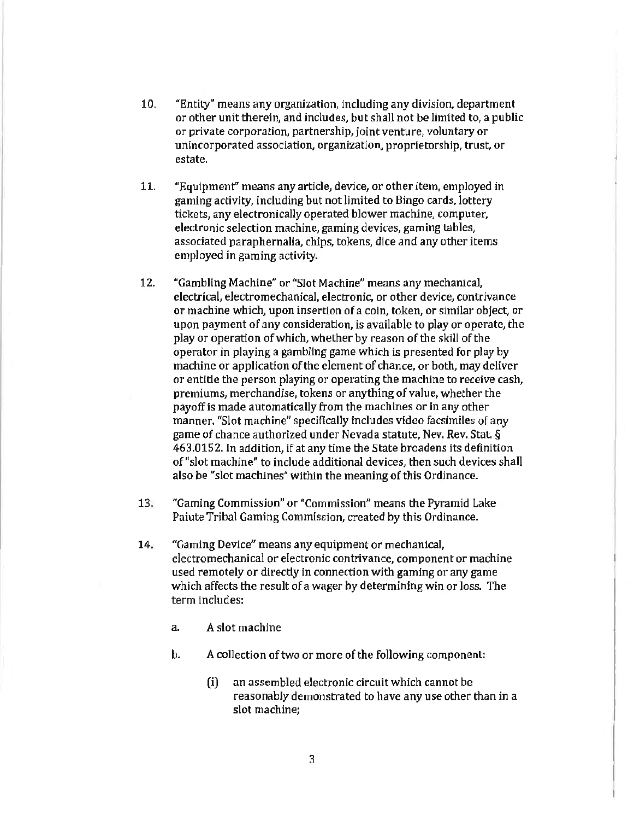- 10. "Entity" means any organization, including any division, department or other unit therein, and includes, but shall not be limited to, a public or private corporation, partnership, joint venture, voluntary or unincorporated association, organization, proprietorship, trust, or estate.
- 11. "Equipment" means any article, device, or other item, employed in gaming activity, including but not limited to Bingo cards, lottery tickets, any electronically operated blower machine, computer, electronic selection machine, gaming devices, gaming tables, associated paraphernalia, chips, tokens, dice and any other items employed in gaming activity.
- 12. "Gambling Machine" or "Slot Machine" means any mechanical, electrical, electromechanical, electronic, or other device, contrivance or machine which, upon insertion of a coin, token, or similar object, or upon payment of any consideration, is available to play or operate, the play or operation of which, whether by reason of the skill of the operator in playing a gambling game which is presented for play by machine or appJication of the element of chance, or both, may deliver or entitle the person playing or operating the machine to receive cash, premiums, merchandise, tokens or anything of value, whether the payoff is made automatically from the machines or in any other manner. "Slot machine" specifically includes video facsimiles of any game of chance authorized under Nevada statute, Nev. Rev. Stat.§ 463.0152. In addition, if at any time the State broadens its definition of "slot machine" to include additional devices, then such devices shall also be "slot machines" within the meaning of this Ordinance.
- 13. "Gaming Commission" or "Commission" means the Pyramid Lake Paiute Tribal Gaming Commission, created by this Ordinance.
- 14. "Gaming Device" means any equipment or mechanical, electromechanical or electronic contrivance, component or machine used remotely or directly in connection with gaming or any game which affects the result of a wager by determining win or loss. The term includes:
	- a. A slot machine
	- b. A collection of two or more of the following component:
		- (i) an assembled electronic circuit which cannot be reasonably demonstrated to have any use other than in a slot machine;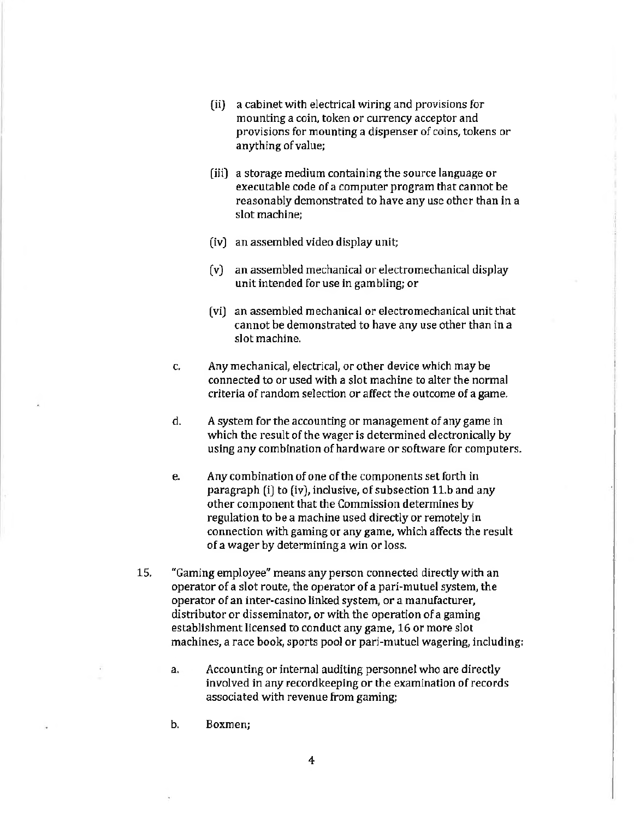- (ii) a cabinet with electrical wiring and provisions for mounting a coin, token or currency acceptor and provisions for mounting a dispenser of coins, tokens or anything of value;
- (iii) a storage medium containing the source language or executable code of a computer program that cannot be reasonably demonstrated to have any use other than in a slot machine;
- (iv) an assembled video display unit;
- (v) an assembled mechanical or electromechanical display unit intended for use in gambling; or
- (vi) an assembled mechanical or electromechanical unit that cannot be demonstrated to have any use other than in a slot machine.
- c. Any mechanical, electrical, or other device which may be connected to or used with a slot machine to alter the normal criteria of random selection or affect the outcome of a game.
- d. A system for the accounting or management of any game in which the result of the wager is determined electronically by using any combination of hardware or software for computers.
- e. Any combination of one of the components set forth in paragraph (i) to (iv), inclusive, of subsection 11.b and any other component that the Commission determines by regulation to be a machine used directly or remotely in connection with gaming or any game, which affects the result of a wager by determining a win or loss.
- 15. "Gaming employee" means any person connected directly with an operator of a slot route, the operator of a pari-mutuel system, the operator of an inter-casino linked system, or a manufacturer, distributor or disseminator, or with the operation of a gaming establishment licensed to conduct any game, 16 or more slot machines, a race book, sports pool or pari-mutuel wagering, including:
	- a. Accounting or internal auditing personnel who are directly involved in any recordkeeping or the examination of records associated with revenue from gaming;
	- b. Boxmen;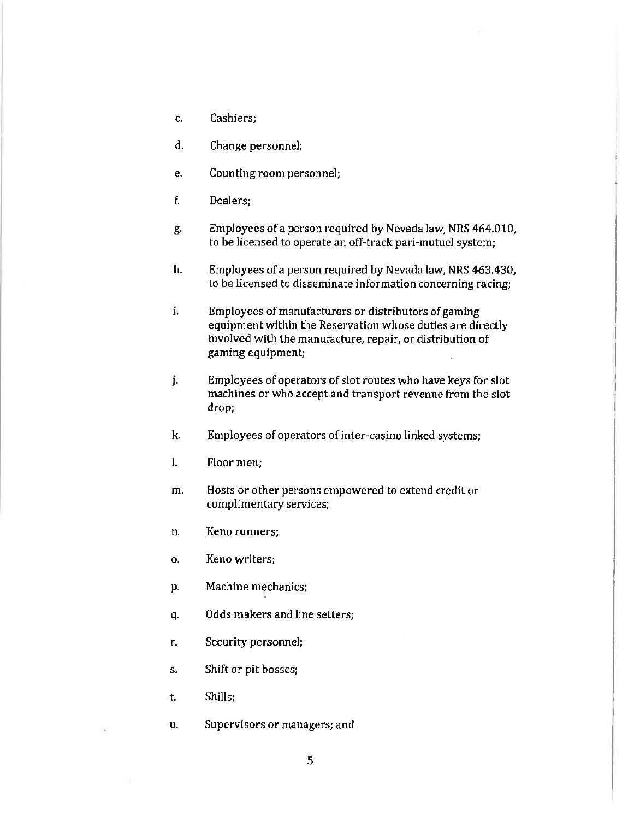- c. Cashiers;
- d. Change personnel;
- e. Counting room personnel;
- f. Dealers;
- g. Employees of a person required by Nevada law, NRS 464.010, to be licensed to operate an off-track pari-mutuel system;
- h. Employees of a person required by Nevada law, NRS 463.430, to be licensed to disseminate information concerning racing;
- i. Employees of manufacturers or distributors of gaming equipment within the Reservation whose duties are directly involved with the manufacture, repair, or distribution of gaming equipment;
- j. Employees of operators of slot routes who have keys for slot machines or who accept and transport revenue from the slot drop;
- k. Employees of operators of inter-casino linked systems;
- l. Floor men;
- m. Hosts or other persons empowered to extend credit or complimentary services;
- n. Keno runners;
- 0. Keno writers;
- p. Machine mechanics;
- q. Odds makers and line setters;
- r. Security personnel;
- s. Shift or pit bosses;
- t. Shills;
- u. Supervisors or managers; and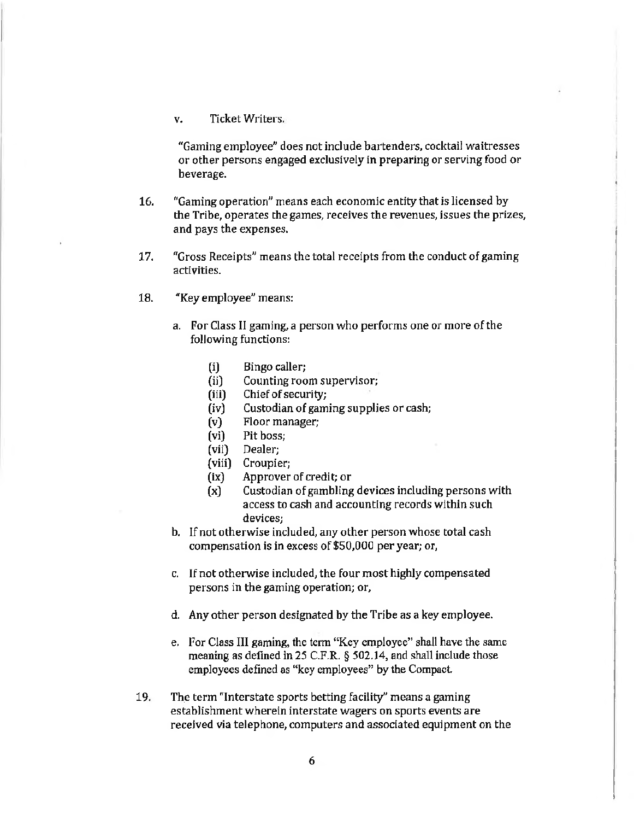# v. Ticket Writers.

"Gaming employee" does not include bartenders, cocktail waitresses or other persons engaged exclusively in preparing or serving food or beverage.

- 16. "Gaming operation" means each economic entity that is licensed by the Tribe, operates the games, receives the revenues, issues the prizes, and pays the expenses.
- 17. "Gross Receipts" means the total receipts from the conduct of gaming activities.
- 18. ''Key employee" means:
	- a. For Class II gaming, a person who performs one or more of the following functions:
		- (i) Bingo caller;
		- (ii) Counting room supervisor;
		- (iii) Chief of security;
		- (iv) Custodian of gaming supplies or cash;
		- (v) Floor manager;
		- (vi) Pit boss;
		- (vii) Dealer;
		- (viii) Croupier;
		- (ix) Approver of credit; or
		- (x) Custodian of gambling devices including persons with access to cash and accounting records within such devices;
	- b. If not otherwise included, any other person whose total cash compensation is in excess of\$50,000 per year; or,
	- c. If not otherwise included, the four most highly compensated persons in the gaming operation; or,
	- d. Any other person designated by the Tribe as a key employee.
	- e. For Class Ill gaming, the term "Key employee" shall have the same meaning as defined in 25 C.F.R. § 502.14, and shall include those employees defined as "key employees" by the Compact.
- 19. The term "Interstate sports betting facility" means a gaming establishment wherein interstate wagers on sports events are received via telephone, computers and associated equipment on the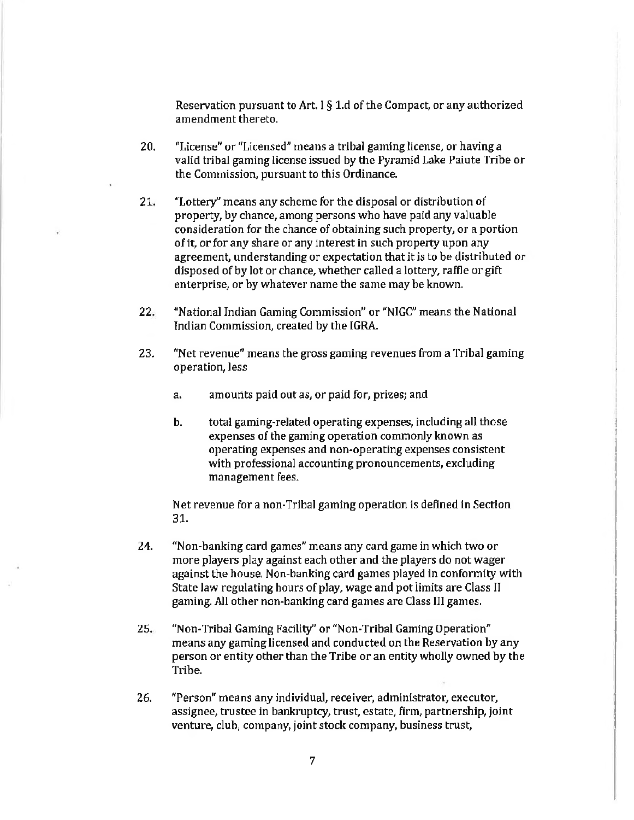Reservation pursuant to Art. I§ 1.d of the Compact, or any authorized amendment thereto.

- 20. "License" or "Licensed" means a tribal gaming license, or having a valid tribal gaming license issued by the Pyramid Lake Paiute Tribe or the Commission, pursuant to this Ordinance.
- 21. "Lottery" means any scheme for the disposal or distribution of property, by chance, among persons who have paid any valuable consideration for the chance of obtaining such property, or a portion of it, or for any share or any interest in such property upon any agreement, understanding or expectation that it is to be distributed or disposed of by lot or chance, whether called a lottery, raffle or gift enterprise, or by whatever name the same may be known.
- 22. "National Indian Gaming Commission" or "NIGC" means the National Indian Commission, created by the IGRA.
- 23. "Net revenue" means the gross gaming revenues from a Tribal gaming operation, less
	- a. amounts paid out as, or paid for, prizes; and
	- b. total gaming-related operating expenses, including all those expenses of the gaming operation commonly known as operating expenses and non-operating expenses consistent with professional accounting pronouncements, excluding management fees.

Net revenue for a non-Tribal gaming operation is defined in Section 31.

- 24. "Non-banking card games" means any card game in which two or more players play against each other and the players do not wager against the house. Non-banking card games played in conformity with State Jaw regulating hours of play, wage and pot limits are Class II gaming. All other non-banking card games are Class III games.
- 25. "Non-Tribal Gaming Facility" or "Non-Tribal Gaming Operation" means any gaming licensed and conducted on the Reservation by any person or entity other than the Tribe or an entity wholly owned by the Tribe.
- 26. "Person" means any individual, receiver, administrator, executor, assignee, trustee in bankruptcy, trust, estate, firm, partnership, joint venture, club, company, joint stock company, business trust,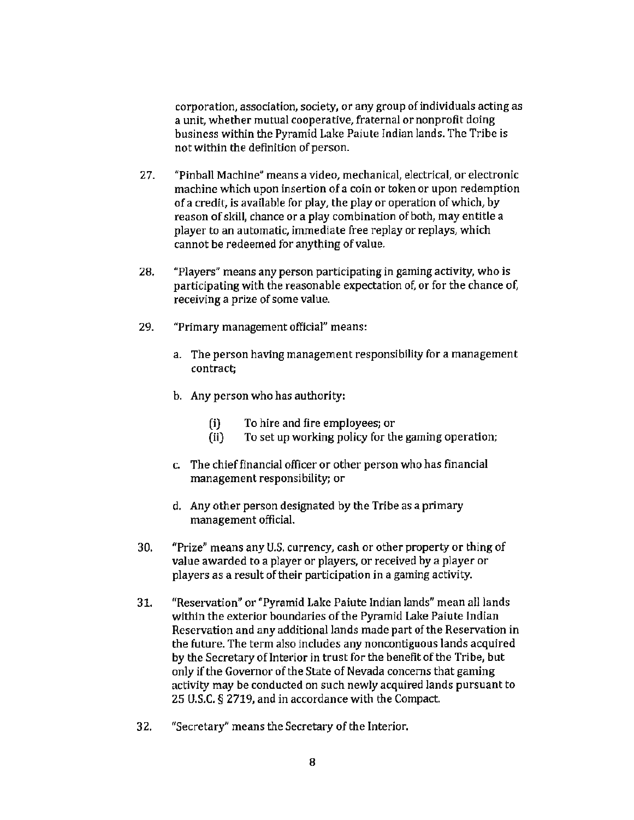corporation, association, society, or any group of individuals acting as a unit, whether mutual cooperative, fraternal or nonprofit doing business within the Pyramid Lake Paiute Indian lands. The Tribe is not within the definition of person.

- 27. "Pinball Machine" means a video, mechanical, electrical, or electronic machine which upon insertion of a coin or token or upon redemption of a credit, is available for play, the play or operation of which, by reason of skill, chance or a play combination of both, may entitle a player to an automatic, immediate free replay or replays, which cannot be redeemed for anything of value.
- 28. "Players" means any person participating in gaming activity, who is participating with the reasonable expectation of, or for the chance of, receiving a prize of some value.
- 29. "Primary management official" means:
	- a. The person having management responsibility for a management contract;
	- b. Any person who has authority:
		- (i) To hire and fire employees; or
		- (ii) To set up working policy for the gaming operation;
	- c. The chief financial officer or other person who has financial management responsibility; or
	- d. Any other person designated by the Tribe as a primary management official.
- 30. "Prize" means any U.S. currency, cash or other property or thing of value awarded to a player or players, or received by a player or players as a result of their participation in a gaming activity.
- 31. "Reservation" or "Pyramid Lake Paiute Indian lands" mean all lands within the exterior boundaries of the Pyramid Lake Paiute Indian Reservation and any additional lands made part of the Reservation in the future. The term also includes any noncontiguous lands acquired by the Secretary of Interior in trust for the benefit of the Tribe, but only if the Governor of the State of Nevada concerns that gaming activity may be conducted on such newly acquired lands pursuant to 25 U.S.C. § 2719, and in accordance with the Compact.
- 32. "Secretary" means the Secretary of the Interior.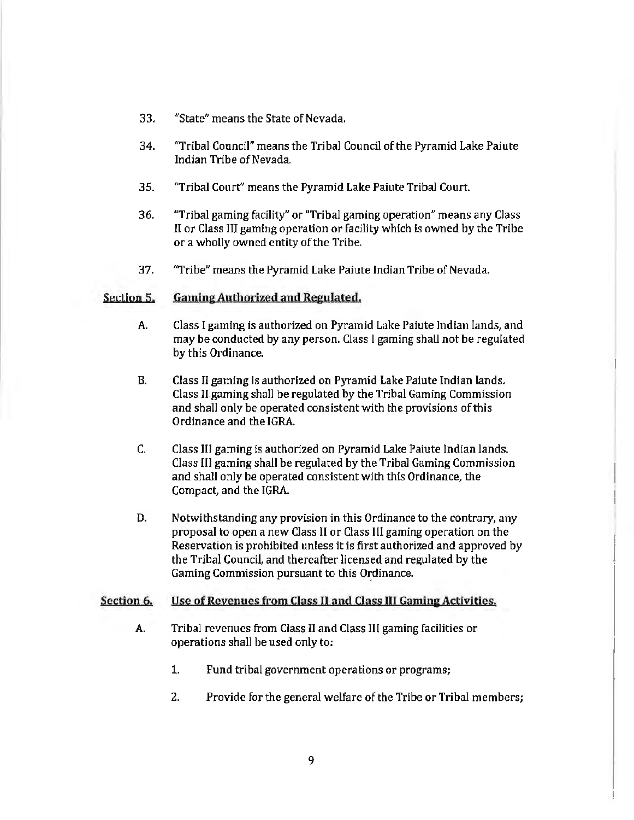- 33. "State" means the State of Nevada.
- 34. "Tribal Council" means the Tribal Council of the Pyramid Lake Paiute Indian Tribe of Nevada.
- 35. "Tribal Court" means the Pyramid Lake Paiute Tribal Court.
- 36. "Tribal gaming facility" or "Tribal gaming operation" means any Class II or Class III gaming operation or facility which is owned by the Tribe or a wholly owned entity of the Tribe.
- 37. "Tribe" means the Pyramid Lake Paiute Indian Tribe of Nevada.

# Section 5. Gaming Authorized and Regulated.

- A. Class I gaming is authorized on Pyramid Lake Paiute Indian lands, and may be conducted by any person. Class I gaming shall not be regulated by this Ordinance.
- B. Class II gaming is authorized on Pyramid Lake Paiute Indian lands. Class II.gaming shall be regulated by the Tribal Gaming Commission and shall only be operated consistent with the provisions of this Ordinance and the IGRA.
- C. Class III gaming is authorized on Pyramid Lake Paiute Indian lands. Class III gaming shall be regulated by the Tribal Gaming Commission and shall only be operated consistent with this Ordinance, the Compact, and the IGRA.
- D. Notwithstanding any provision in this Ordinance to the contrary, any proposal to open a new Class II or Class Ill gaming operation on the Reservation is prohibited unless it is first authorized and approved by the Tribal Council, and thereafter licensed and regulated by the Gaming Commission pursuant to this Ordinance.

#### Section 6. Use of Revenues from Class II and Class III Gaming Activities.

- A. Tribal revenues from Class ll and Class Ill gaming facilities or operations shall be used only to:
	- 1. Fund tribal government operations or programs;
	- 2. Provide for the general welfare of the Tribe or Tribal members;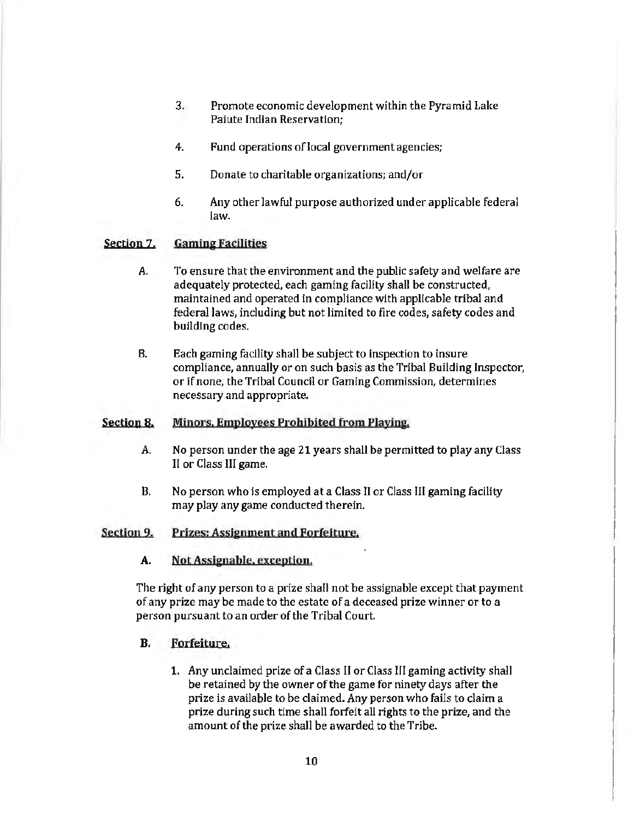- 3. Promote economic development within the Pyramid Lake Paiute Indian Reservation;
- 4. Fund operations of local government agencies;
- 5. Donate to charitable organizations; and/or
- 6. Any other lawful purpose authorized under applicable federal law.

# Section 7. Gaming Facilities

- A. To ensure that the environment and the public safety and welfare are adequately protected, each gaming facility shall be constructed, maintained and operated in compliance with applicable tribal and federal Jaws, including but not limited to fire codes, safety codes and building codes.
- B. Each gaming facility shall be subject to inspection to insure compliance, annually or on such basis as the Tribal Building Inspector, or if none, the Tribal Council or Gaming Commission, determines necessary and appropriate.

# Section 8. Minors. Employees Prohibited from Playing.

- A. No person under the age 21 years shall be permitted to play any Class II or Class III game.
- B. No person who is employed at a Class II or Class III gaming facility may play any game conducted therein.

# Section 9. Prizes: Assignment and Forfeiture.

# A. Not Assignable. exception.

The right of any person to a prize shall not be assignable except that payment of any prize may be made to the estate of a deceased prize winner or to a person pursuant to an order of the Tribal Court.

# B. Forfeiture.

1. Any unclaimed prize of a Class II or Class III gaming activity shall be retained by the owner of the game for ninety days after the prize is available to be claimed. Any person who fails to claim a prize during such time shall forfeit all rights to the prize, and the amount of the prize shall be awarded to the Tribe.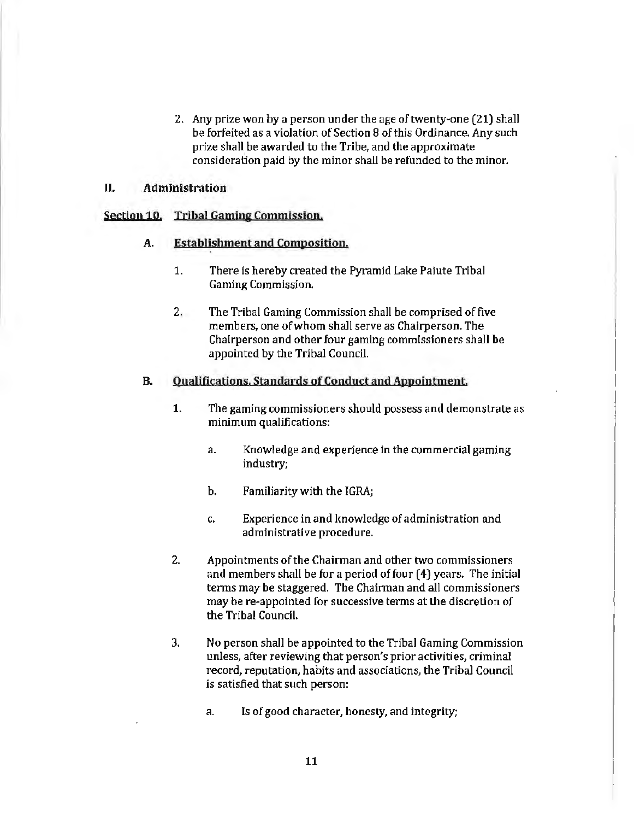2. Any prize won by a person under the age of twenty·one (21) shall be forfeited as a violation of Section 8 of this Ordinance. Any such prize shall be awarded to the Tribe, and the approximate consideration paid by the minor shall be refunded to the minor.

#### JI. Administration

# Section 10. Tribal Gaming Commission.

# A. Establishment and Composition.

- 1. There is hereby created the Pyramid Lake Paiute Tribal Gaming Commission.
- 2. The Tribal Gaming Commission shall be comprised of five members, one of whom shall serve as Chairperson. The Chairperson and other four gaming commissioners shall be appointed by the Tribal Council.

#### B. Qualifica tions. Standards of Conduct and Appointment.

- 1. The gaming commissioners should possess and demonstrate as minimum qualifications:
	- a. Knowledge and experience in the commercial gaming industry;
	- b. Familiarity with the IGRA;
	- c. Experience in and knowledge of administration and administrative procedure.
- 2. Appointments of the Chairman and other two commissioners and members shall be for a period of four  $(4)$  years. The initial terms may be staggered. The Chairman and all commissioners may be re-appointed for successive terms at the discretion of the Tribal Council.
- 3. No person shall be appointed to the Tribal Gaming Commission unless, after reviewing that person's prior activities, criminal record, reputation, habits and associations, the Tribal Council is satisfied that such person:
	- a. Is of good character, honesty, and integrity;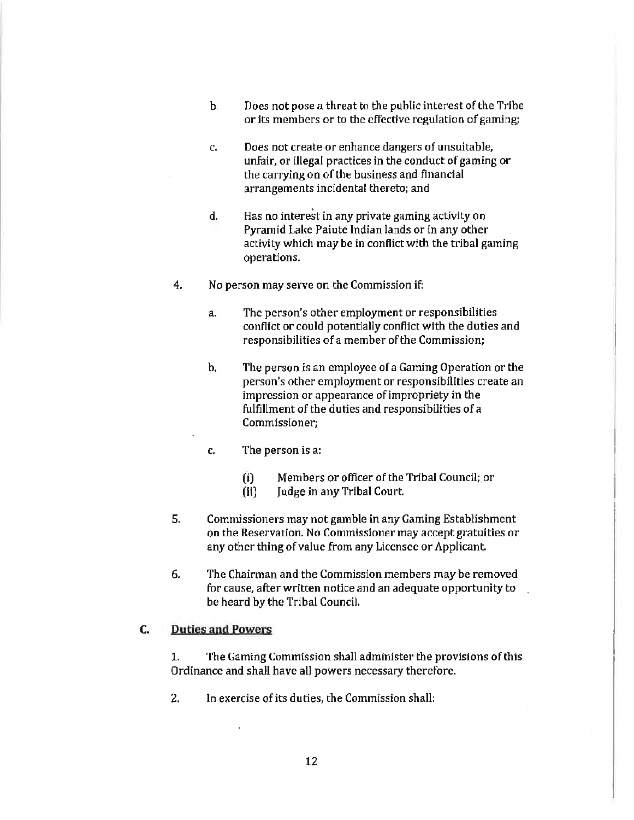- b. Does not pose a threat to the public interest of the Tribe or its members or to the effective regulation of gaming;
- c. Does not create or enhance dangers of unsuitable, unfair, or illegal practices in the conduct of gaming or the carrying on of the business and financial arrangements incidental thereto; and
- d. Has no interest in any private gaming activity on Pyramid Lake Paiute Indian lands or in any other activity which may be in conflict with the tribal gaming operations.
- 4. No person may serve on the Commission if:
	- a. The person's other employment or responsibilities conflict or could potentially conflict with the duties and responsibilities of a member of the Commission;
	- b. The person is an employee of a Gaming Operation or the person's other employment or responsibilities create an impression or appearance of impropriety in the fulfillment of the duties and responsibilities of a Commissioner;
	- c. The person is a:
		- (i) Members or officer of the Tribal Council;.or
		- (ii) Judge in any Tribal Court.
- 5. Commissioners may not gamble in any Gaming Establishment on the Reservation. No Commissioner may accept gratuities or any other thing of value from any Licensee or Applicant.
- 6. The Chairman and the Commission members may be removed for cause, after written notice and an adequate opportunity to be heard by the Tribal Council.

# C. Duties and Powers

1. The Gaming Commission shall administer the provisions of this Ordinance and shall have all powers necessary therefore.

2. In exercise of its duties, the Commission shall: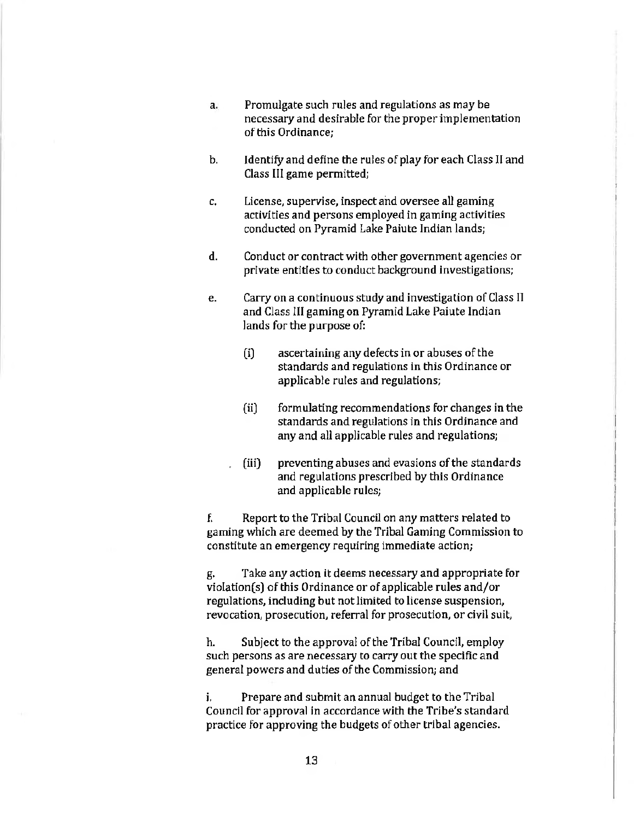- a. Promulgate such rules and regulations as may be necessary and desirable for the proper implementation of this Ordinance;
- b. Identify and define the rules of play for each Class II and Class lil game permitted;
- c. License, supervise, inspect and oversee all gaming activities and persons employed in gaming activities conducted on Pyramid Lake Paiute Indian lands;
- d. Conduct or contract with other government agencies or private entities to conduct background Investigations;
- e. Carry on a continuous study and investigation of Class II and Class III gaming on Pyramid Lake Paiute Indian lands for the purpose of:
	- (i) ascertaining any defects in or abuses of the standards and regulations in this Ordinance or applicable rules and regulations;
	- (ii) formulating recommendations for changes in the standards and regulations in this Ordinance and any and all applicable rules and regulations;
	- . (iii) preventing abuses and evasions of the standards and regulations prescribed by this Ordinance and applicable rules;

f. Report to the Tribal Council on any matters related to gaming which are deemed by the Tribal Gaming Commission to constitute an emergency requiring immediate action;

g. Take any action it deems necessary and appropriate for violation(s) of this Ordinance or of applicable rules and/or regulations, including but not limited to license suspension, revocation, prosecution, referral for prosecution, or civil suit,

h. Subject to the approval of the Tribal Council, employ such persons as are necessary to carry out the specific and general powers and duties of the Commission; and

i. Prepare and submit an annual budget to the Tribal Council for approval in accordance with the Tribe's standard practice for approving the budgets of other tribal agencies.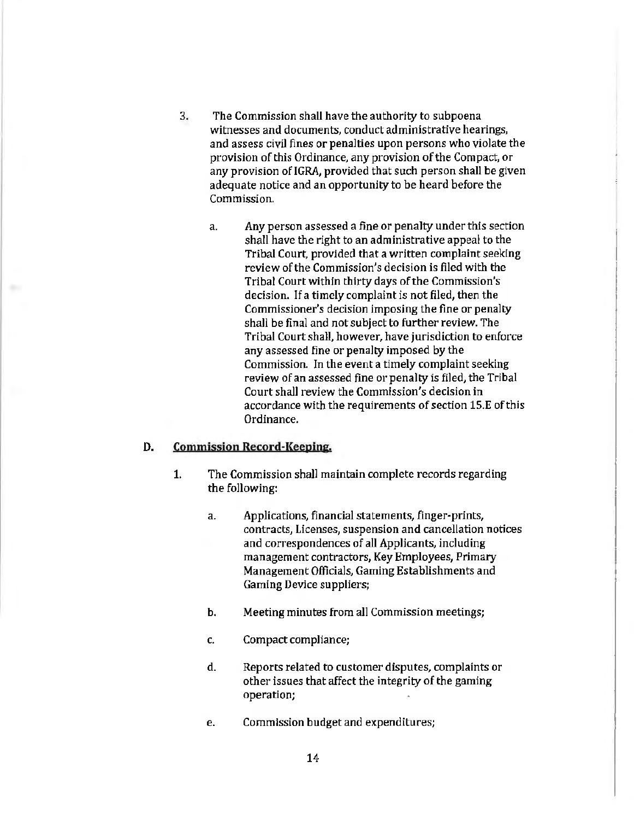- 3. The Commission shall have the authority to subpoena witnesses and documents, conduct administrative hearings, and assess civil fines or penalties upon persons who violate the provision of this Ordinance, any provision of the Compact, or any provision of IGRA, provided that such person shall be given adequate notice and an opportunity to be heard before the Commission.
	- a. Any person assessed a fine or penalty under this section shall have the right to an administrative appeal to the Tribal Court, provided that a written complaint seeking review of the Commission's decision is filed with the Tribal Court within thirty days of the Commission's decision. If a timely complaint is not filed, then the Commissioner's decision imposing the fine or penalty shall be final and not subject to further review. The Tribal Court shall, however, have jurisdiction to enforce any assessed fine or penalty imposed by the Commission. Jn the event a timely complaint seeking review of an assessed fine or penalty is filed, the Tribal Court shall review the Commission's decision in accordance with the requirements of section 15.E of this Ordinance.

#### D. Commission Record-Keeping.

- 1. The Commission shall maintain complete records regarding the following:
	- a. Applications, financial statements, finger-prints, contracts, Licenses, suspension and cancellation notices and correspondences of all Applicants, including management contractors, Key Employees, Primary Management Officials, Gaming Establishments and Gaming Device suppliers;
	- b. Meeting minutes from all Commission meetings;
	- c. Compact compliance;
	- d. Reports related to customer disputes, complaints or other issues that affect the integrity of the gaming operation;
	- e. Commission budget and expenditures;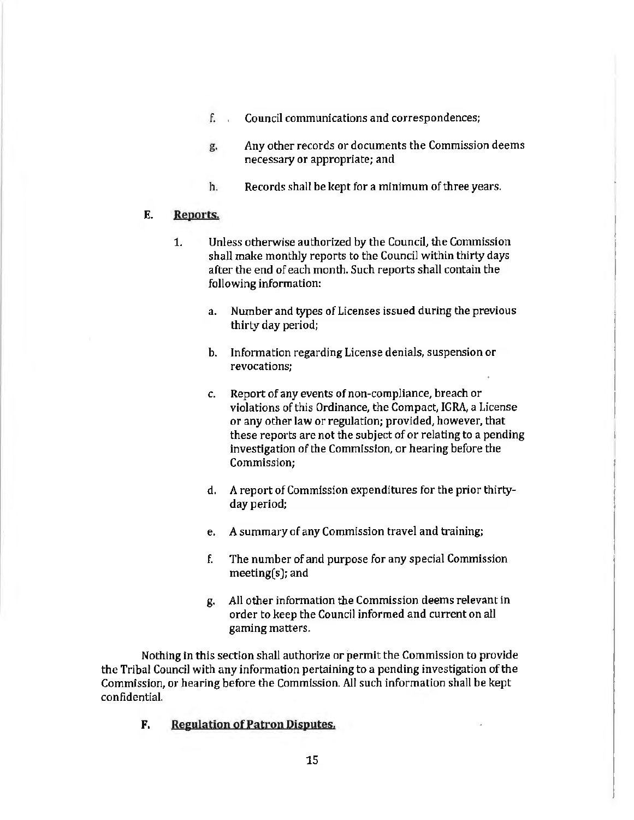- f. Council communications and correspondences;
- g. Any other records or documents the Commission deems necessary or appropriate; and
- h. Records shall be kept for a minimum of three years.

# E. Reports.

- 1. Unless otherwise authorized by the Council, the Commission shall make monthly reports to the Council within thirty days after the end of each month. Such reports shall contain the following information:
	- a. Number and types of Licenses issued during the previous thirty day period;
	- b. Information regarding License denials, suspension or revocations;
	- c. Report of any events of non-compliance, breach or violations of this Ordinance, the Compact, IGRA, a License or any other law or regulation; provided, however, that these reports are not the subject of or relating to a pending investigation of the Commission, or hearing before the Commission;
	- d. A report of Commission expenditures for the prior thirtyday period;
	- e. *A* summary of any Commission travel and training;
	- f. The number of and purpose for any special Commission meeting(s); and
	- g. All other information the Commission deems relevant in order to keep the Council informed and current on all gaming matters.

Nothing in this section shall authorize or permit the Commission to provide the Tribal Council with any information pertaining to a pending investigation of the Commission, or hearing before the Commission. All such information shall be kept confidential.

F. Regulation of Patron Disputes.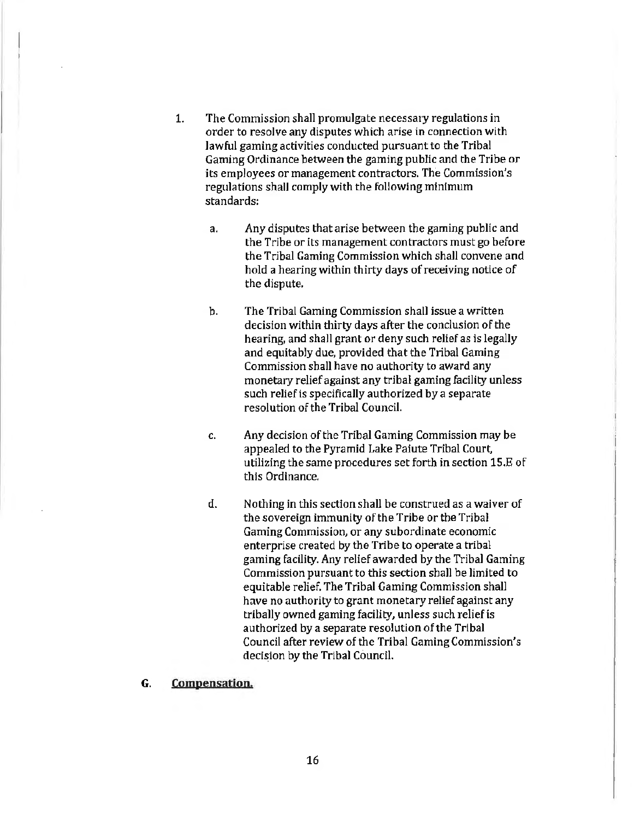- 1. The Commission shall promulgate necessary regulations in order to resolve any disputes which arise in connection with lawful gaming activities conducted pursuant to the Tribal Gaming Ordinance between the gaming public and the Tribe or its employees or management contractors. The Commission's regulations shall comply with the following minimum standards:
	- a. Any disputes that arise between the gaming public and the Tribe or its management contractors must go before the Tribal Gaming Commission which shall convene and hold a hearing within thirty days of receiving notice of the dispute.
	- b. The Tribal Gaming Commission shall issue a written decision within thirty days after the conclusion of the hearing, and shall grant or deny such relief as is legally and equitably due, provided that the Tribal Gaming Commission shall have no authority to award any monetary relief against any tribal gaming facility unless such relief is specifically authorized by a separate resolution of the Tribal Council.
	- c. Any decision of the Tribal Gaming Commission may be appealed to the Pyramid Lake Paiute Tribal Court, utilizing the same procedures set forth in section 15.E of this Ordinance.
	- d. Nothing in this section shall be construed as a waiver of the sovereign immunity of the Tribe or the Tribal Gaming Commission, or any subordinate economic enterprise created by the Tribe to operate a tribal gaming facility. Any relief awarded by the Tribal Gaming Commission pursuant to this section shall be limited to equitable relief. The Tribal Gaming Commission shall have no authority to grant monetary relief against any tribally owned gaming facility, unless such relief is authorized by a separate resolution of the Tribal Council after review of the Tribal Gaming Commission's decision by the Tribal Council.

#### G. Compensation.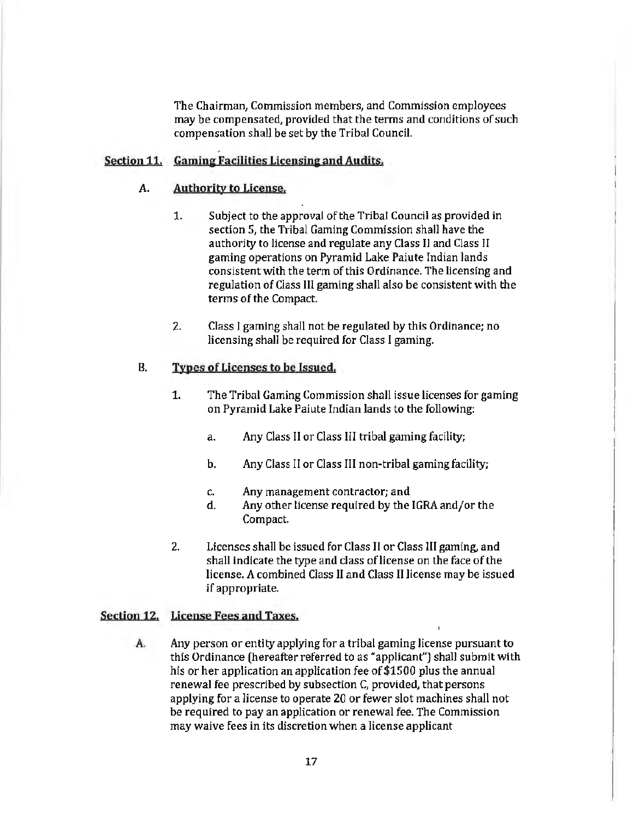The Chairman, Commission members, and Commission employees may be compensated, provided that the terms and conditions of such compensation shall be set by the Tribal Council.

# Section 11. Gaming Facilities Licensing and Audits.

# A. Authority to License.

- 1. Subject to the approval of the Tribal Council as provided in section 5, the Tribal Gaming Commission shall have the authority to license and regulate any Class 11 and Class ll gaming operations on Pyramid Lake Paiute Indian lands consistent with the term of this Ordinance. The licensing and regulation of Class Ill gaming shall also be consistent with the terms of the Compact.
- 2. Class I gaming shall not be regulated by this Ordinance; no licensing shall be required for Class I gaming.

#### B. Types of Licenses to be Issued.

- 1. The Tribal Gaming Commission shall issue licenses for gaming on Pyramid Lake Paiute Indian lands to the following:
	- a. Any Class II or Class III tribal gaming facility;
	- b. Any Class II or Class III non-tribal gaming facility;
	- c. Any management contractor; and
	- d. Any other license required by the IGRA and/or the Compact.
- 2. Licenses shall be issued for Class II or Class 111 gaming, and shall indicate the type and class of license on the face of the license. A combined Class II and Class II license may be issued if appropriate.

# Section 12. License Fees and Taxes.

A. Any person or entity applying for a tribal gaming license pursuant to this Ordinance (hereafter referred to as "applicant") shall submit with his or her application an application fee of \$1500 plus the annual renewal fee prescribed by subsection C, provided, that persons applying for a license to operate 20 or fewer slot machines shall not be required to pay an application or renewal fee. The Commission may waive fees in its discretion when a license applicant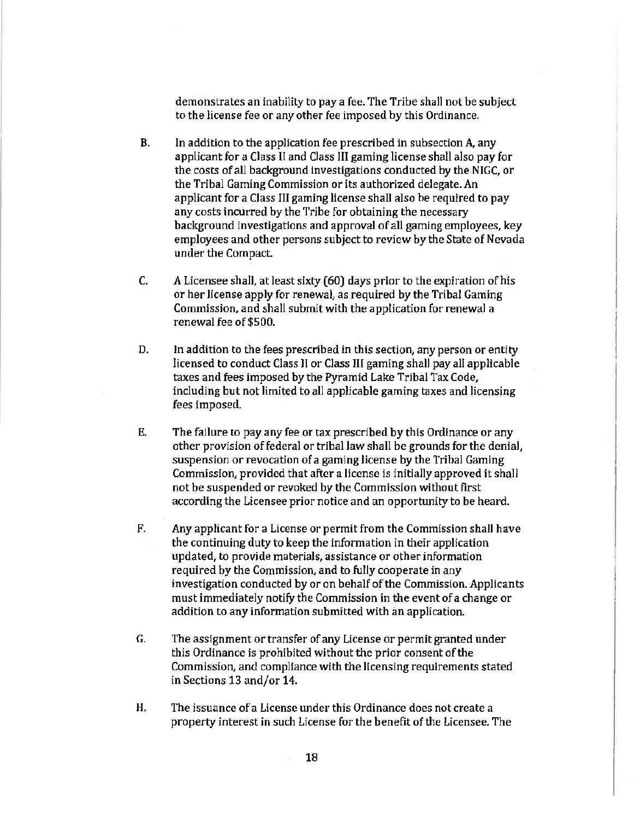demonstrates an inability to pay a fee. The Tribe shall not be subject to the license fee or any other fee imposed by this Ordinance.

- B. In addition to the application fee prescribed in subsection A, any applicant for a Class II and Class III gaming license shall also pay for the costs of all background investigations conducted by the NIGC, or the Tribal Gaming Commission or its authorized delegate. An applicant for a Class III gaming license shall also be required to pay any costs incurred by the Tribe for obtaining the necessary background investigations and approval of all gaming employees, key employees and other persons subject to review by the State of Nevada under the Compact.
- C. A Licensee shall, at least sixty (60) days prior to the expiration of his or her license apply for renewal, as required by the Tribal Gaming Commission, and shall submit with the application for renewal a renewal fee of\$500.
- D. In addition to the fees prescribed in this section, any person or entity licensed to conduct Class 11 or Class III gaming shall pay all applicable taxes and fees imposed by the Pyramid Lake Tribal Tax Code, including but not limited to all applicable gaming taxes and licensing fees imposed.
- E. The failure to pay any fee or tax prescribed by this Ordinance or any other provision of federal or tribal law shall be grounds for the denial, suspension or revocation of a gaming license by the Tribal Gaming Commission, provided that after a license is initially approved it shall not be suspended or revoked by the Commission without first according the Licensee prior notice and an opportunity to be heard.
- F. Any applicant for a License or permit from the Commission shall have the continuing duty to keep the information in their application updated, to provide materials, assistance or other information required by the Commission, and to fully cooperate in any investigation conducted by or on behalf of the Commission. Applicants must immediately notify the Commission in the event of a change or addition to any information submitted with an application.
- G. The assignment or transfer of any License or permit granted under this Ordinance is prohibited without the prior consent of the Commission, and compliance with the licensing requirements stated in Sections 13and/or14.
- H. The issuance of a License under this Ordinance does not create a property interest in such License for the benefit of the Licensee. The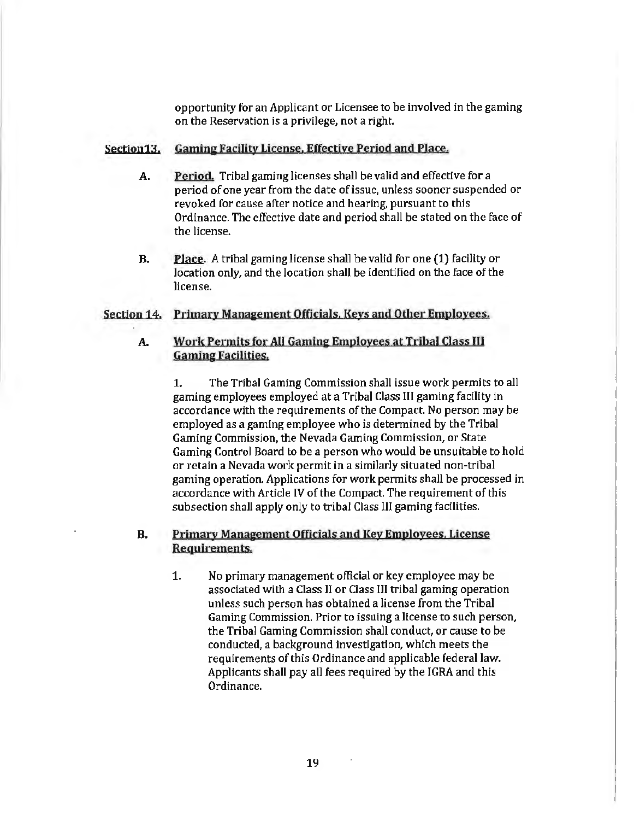opportunity for an Applicant or Licensee to be involved in the gaming on the Reservation is a privilege, not a right.

# Section13. Gaming Facility License. Effective Period and Place.

- A. Period. Tribal gaming licenses shall be valid and effective for a period of one year from the date of issue, unless sooner suspended or revoked for cause after notice and hearing, pursuant to this Ordinance. The effective date and period shall be stated on the face of the license.
- B. Place. A tribal gaming license shall be valid for one (1) facility or location only, and the location shall be identified on the face of the Jicense.

# Section 14. Primary Management Officials. Keys and Other Employees.

# A. Work Permits for AU Gamine Employees at Tribal Class JU Gaming Facilities.

1. The Tribal Gaming Commission shall issue work permits to all gaming employees employed at a Tribal Class Ill gaming facility in accordance with the requirements of the Compact. No person may be employed as a gaming employee who is determined by the Tribal Gaming Commission, the Nevada Gaming Commission, or State Gaming Control Board to be a person who would be unsuitable to hold or retain a Nevada work permit in a similarly situated non-tribal gaming operation. Applications for work permits shall be processed in accordance with Article IV of the Compact. The requirement of this subsection shall apply only to tribal Class III gaming facilities.

# B. Primary Management Officials and Key Employees. License Requirements.

1. No primary management official or key employee may be associated with a Class II or Class III tribal gaming operation unless such person has obtained a license from the Tribal Gaming Commission. Prior to issuing a license to such person, the Tribal Gaming Commission shall conduct, or cause to be conducted, a background investigation, which meets the requirements of this Ordinance and applicable federal Jaw. Applicants shall pay all fees required by the IGRA and this Ordinance.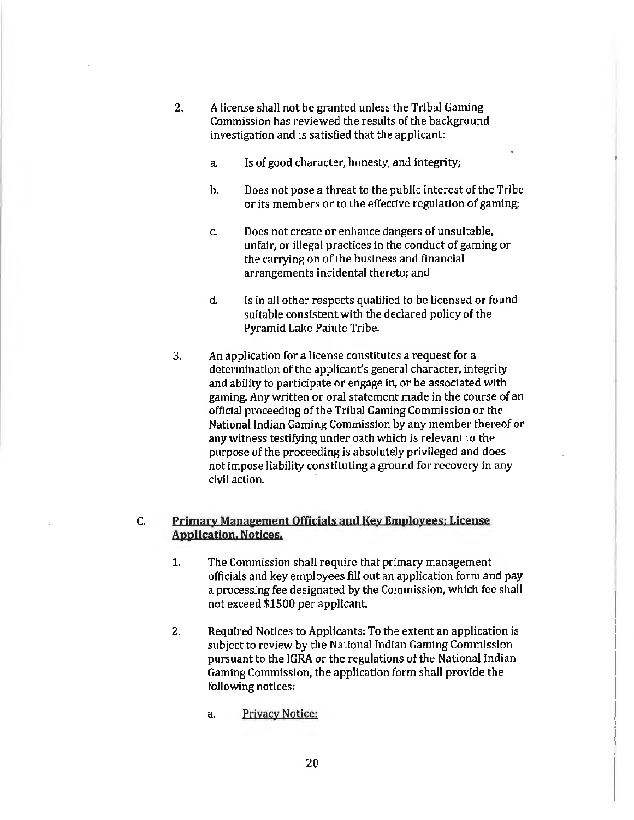- 2. A license shall not be granted unless the Tribal Gaming Commission has reviewed the results of the background investigation and is satisfied that the applicant:
	- a. Is of good character, honesty, and integrity;
	- b. Does not pose a threat to the public interest of the Tribe or its members or to the effective regulation of gaming;
	- c. Does not create or enhance dangers of unsuitable, unfair, or illegal practices in the conduct of gaming or the carrying on of the business and financial arrangements incidental thereto; and
	- d. Is in all other respects qualified to be licensed or found suitable consistent with the declared policy of the Pyramid Lake Paiute Tribe.
- 3. An application for a license constitutes a request for a determination of the applicant's general character, integrity and ability to participate or engage in, or be associated with gaming. Any written or oral statement made in the course of an official proceeding of the Tribal Gaming Commission or the National Indian Gaming Commission by any member thereof or any witness testifying under oath which is relevant to the purpose of the proceeding is absolutely privileged and does not impose liability constituting a ground for recovery in any civil action.

# C. Primary Manaeement Officials and Key Employees: License Application. Notices.

- 1. The Commission shall require that primary management officials and key emp1oyees fill out an application form and pay a processing fee designated by the Commission, which fee shall not exceed \$1500 per applicant.
- 2. Required Notices to Applicants: To the extent an application is subject to review by the National Indian Gaming Commission pursuant to the IGRA or the regulations of the National Indian Gaming Commission, the application form shall provide the following notices:
	- a. Privacy Notice: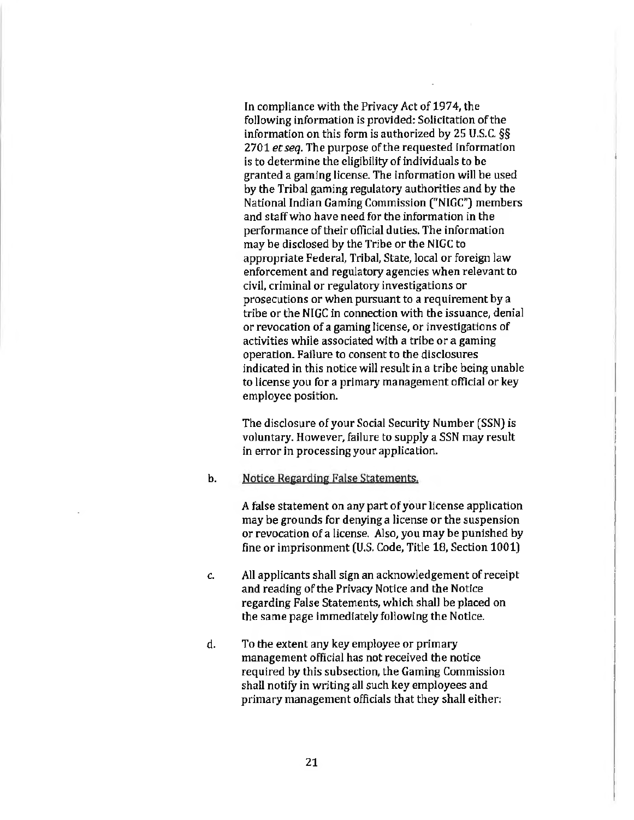In compliance with the Privacy Act of 1974, the following information is provided: Solicitation of the information on this form is authorized by 25 U.S.C. *§§*  2701 *et seq.* The purpose of the requested information is to determine the eligibility of individuals to be granted a gaming license. The information will be used by the Tribal gaming regulatory authorities and by the National Indian Gaming Commission ("NIGC") members and staff who have need for the information in the performance of their official duties. The information may be disclosed by the Tribe or the NIGC to appropriate Federal, Tribal, State, local or foreign law enforcement and regulatory agencies when relevant to civil, criminal or regulatory investigations or prosecutions or when pursuant to a requirement by a tribe or the NIGC in connection with the issuance, denial or revocation of a gaming license, or investigations of activities while associated with a tribe or a gaming operation. Failure to consent to the disclosures indicated in this notice will result in a tribe being unable to license you for a primary management official or key employee position.

The disclosure of your Social Security Number (SSN) is voluntary. However, failure to supply a SSN may result in error in processing your application.

b. Notice Regarding False Statements.

A false statement on any part of your license application may be grounds for denying a license or the suspension or revocation of a license. Also, you may be punished by fine or imprisonment (U.S. Code, Title 18, Section 1001)

- c. All applicants shall sign an acknowledgement of receipt and reading of the Privacy Notice and the Notice regarding False Statements, which shal1 be placed on the same page immediately following the Notice.
- d. To the extent any key employee or primary management official has not received the notice required by this subsection, the Gaming Commission shall notify in writing all such key employees and primary management officials that they shall either: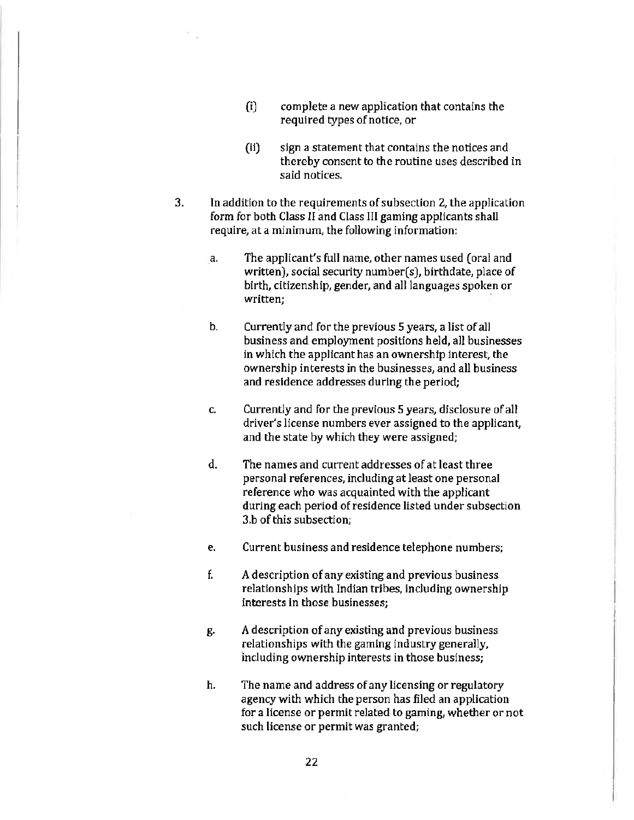- (i) complete a new application that contains the required types of notice, or
- (ii) sign a statement that contains the notices and thereby consent to the routine uses described in said notices.
- 3. In addition to the requirements of subsection 2, the application form for both Class II and Class III gaming applicants shall require, at a minimum, the following information:
	- a. The applicant's full name, other names used (oral and written), social security number(s), birthdate, place of birth, citizenship, gender, and all languages spoken or written:
	- b. Currently and for the previous 5 years, a list of all business and employment positions held, all businesses in which the applicant has an ownership interest, the ownership interests in the businesses, and all business and residence addresses during the period;
	- c. Currently and for the previous 5 years, disclosure of all driver's license numbers ever assigned to the applicant, and the state by which they were assigned;
	- d. The names and current addresses of at least three personal references, including at least one personal reference who was acquainted with the applicant during each period of residence listed under subsection 3.b of this subsection;
	- e. Current business and residence telephone numbers;
	- f. A description of any existing and previous business relationships with Indian tribes, including ownership interests in those businesses;
	- g. A description of any existing and previous business relationships with the gaming industry generally, including ownership interests in those business;
	- h. The name and address of any licensing or regulatory agency with which the person has filed an application for a license or permit related to gaming, whether or not such license or permit was granted;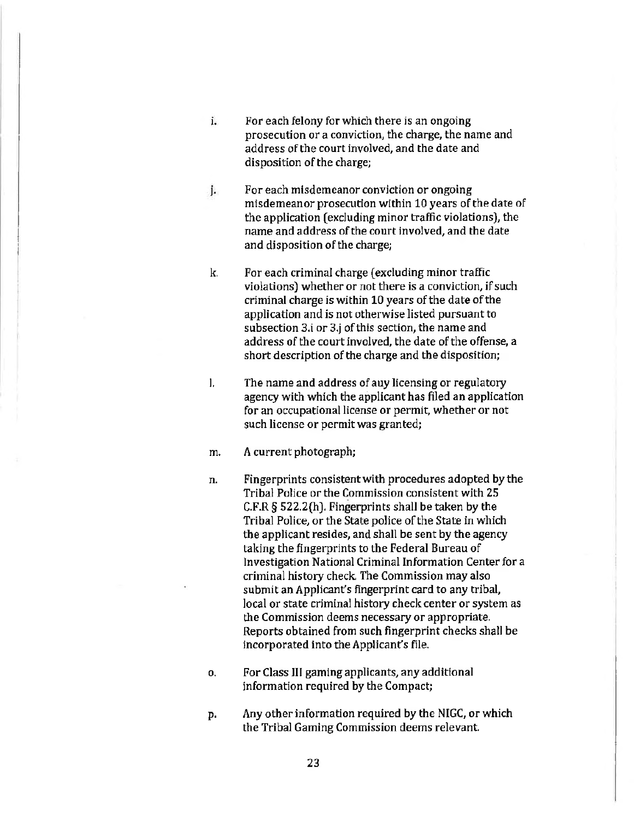- i. For each felony for which there is an ongoing prosecution or a conviction, the charge, the name and address of the court involved, and the date and disposition of the charge;
- j. For each misdemeanor conviction or ongoing misdemeanor prosecution within 10 years of the date of the application (excluding minor traffic violations), the name and address of the court involved, and the date and disposition of the charge;
- k. For each criminal charge (excluding minor traffic violations) whether or not there is a conviction, if such criminal charge is within 10 years of the date of the application and is not otherwise listed pursuant to subsection 3.i or 3.j of this section, the name and address of the court involved, the date of the offense, a short description of the charge and the disposition;
- I. The name and address of any licensing or regulatory agency with which the applicant has filed an application for an occupational license or permit, whether or not such license or permit was granted;
- m. A current photograph;
- n. Fingerprints consistent with procedures adopted by the Tribal Police or the Commission consistent with 25 C.F.R § 522.2(h). Fingerprints shall be taken by the Tribal Police, or the State police of the State in which the applicant resides, and shall be sent by the agency taking the fingerprints to the Federal Bureau of Investigation National Criminal Information Center for a criminal history check. The Commission may also submit an Applicant's fingerprint card to any tribal, local or state criminal history check center or system as the Commission deems necessary or appropriate. Reports obtained from such fingerprint checks shall be incorporated into the Applicant's file.
- o. For Class III gaming applicants, any additional information required by the Compact;
- p. Any other information required by the NIGC, or which the Tribal Gaming Commission deems relevant.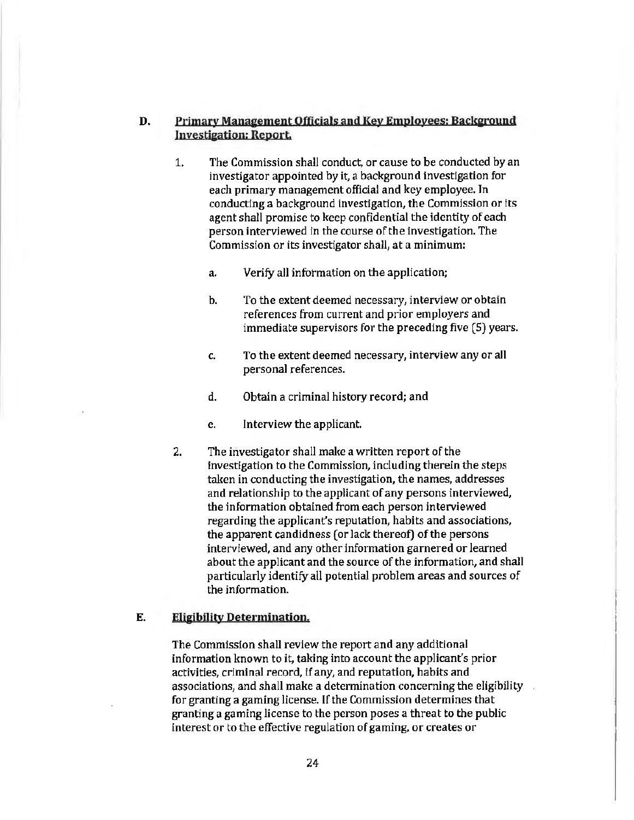# D. Primary Management Officials and Key Employees: Background Investigation: Report.

- 1. The Commission shall conduct, or cause to be conducted by an investigator appointed by it, a background investigation for each primary management official and key employee. Jn conducting a background investigation, the Commission or its agent shall promise to keep confidential the identity of each person interviewed in the course of the investigation. The Commission or its investigator shall, at a minimum:
	- a. Verify all information on the application;
	- b. To the extent deemed necessary, interview or obtain references from current and prior employers and immediate supervisors for the preceding five (5) years.
	- c. To the extent deemed necessary, interview any or all personal references.
	- d. Obtain a criminal history record; and
	- e. Interview the applicant.
- 2. The investigator shall make a written report of the investigation to the Commission, including therein the steps taken in conducting the investigation, the names, addresses and relationship to the applicant of any persons interviewed, the information obtained from each person interviewed regarding the applicant's reputation, habits and associations, the apparent candidness (or lack thereof) of the persons interviewed, and any other information garnered or learned about the applicant and the source of the information, and shall particularly identify all potential problem areas and sources of the information.

#### E. Eligibility Determination.

The Commission shall review the report and any additional information known to it, taking into account the applicant's prior activities, criminal record, if any, and reputation, habits and associations, and shall make a determination concerning the eligibility for granting a gaming license. If the Commission determines that granting a gaming license to the person poses a threat to the public interest or to the effective regulation of gaming, or creates or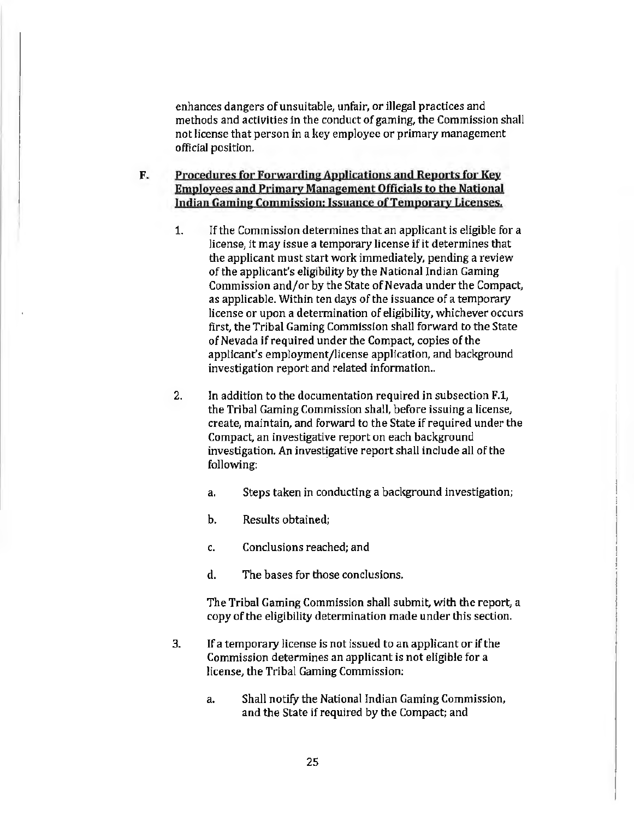enhances dangers of unsuitable, unfair, or illegal practices and methods and activities in the conduct of gaming, the Commission shall not license that person in a key employee or primary management official position.

# F. Procedures for Forwarding Applications and Reports for Key Employees and Primary Management Officials to the National Indian Gaming Commission; Issuance of Temporary Licenses.

- 1. If the Commission determines that an applicant is eligible for a license, it may issue a temporary license if it determines that the applicant must start work immediately, pending a review of the applicant's eligibility by the National Indian Gaming Commission and/or by the State of Nevada under the Compact, as applicable. Within ten days of the issuance of a temporary license or upon a determination of eligibility, whichever occurs first, the Tribal Gaming Commission shall forward to the State of Nevada if required under the Compact, copies of the applicant's employment/license application, and background investigation report and related information..
- 2. In addition to the documentation required in subsection F.1, the Tribal Gaming Commission shall, before issuing a license, create, maintain, and forward to the State if required under the Compact, an investigative report on each background investigation. An investigative report shall include all of the following:
	- a. Steps taken in conducting a background investigation;
	- b. Results obtained;
	- c. Conclusions reached; and
	- d. The bases for those conclusions.

The Tribal Gaming Commission shall submit, with the report, a copy of the eligibility determination made under this section.

- 3. If a temporary license is not issued to an applicant or if the Commission determines an applicant is not eligible for a license, the Tribal Gaming Commission:
	- a. Shall notify the National Indian Gaming Commission, and the State if required by the Compact; and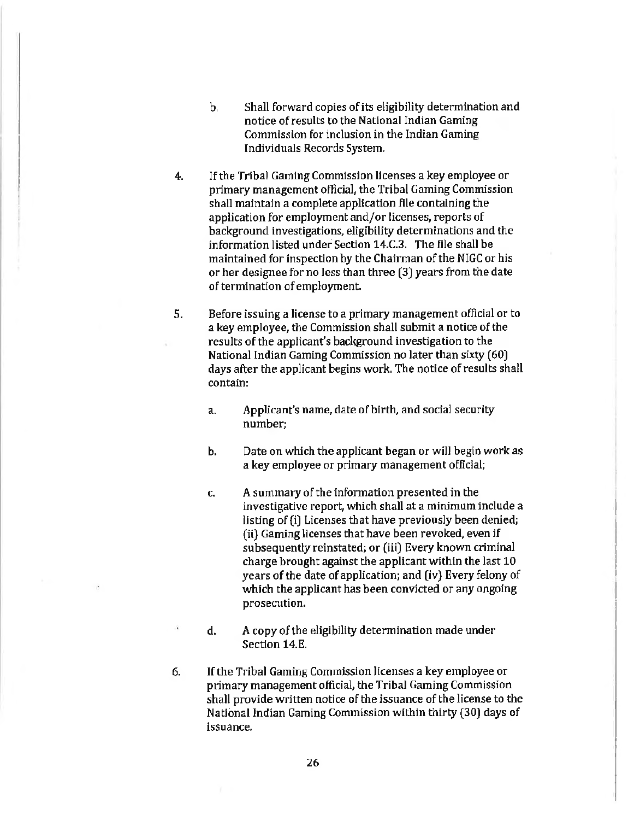- b. Shall forward copies of its eligibility determination and notice of results to the National Indian Gaming Commission for inclusion in the Indian Gaming Individuals Records System.
- 4. If the Tribal Gaming Commission licenses a key employee or primary management official, the Tribal Gaming Commission shall maintain a complete application file containing the application for employment and/or licenses, reports of background investigations, eligibility determinations and the information listed under Section 14.C.3. The file shall be maintained for inspection by the Chairman of the NIGC or his or her designee for no Jess than three (3) years from the date of termination of employment.
- 5. Before issuing a license to a primary management official or to a key employee, the Commission shall submit a notice of the results of the applicant's background investigation to the National Indian Gaming Commission no later than sixty (60) days after the applicant begins work. The notice of results shall contain:
	- a. Applicant's name, date of birth, and social security number;
	- b. Date on which the applicant began or will begin work as a key employee or primary management official;
	- c. A summary of the information presented in the investigative report, which shall at a minimum include a listing of (i) Licenses that have previously been denied; (ii} Gaming licenses that have been revoked, even if subsequently reinstated; or (iii) Every known criminal charge brought against the applicant within the last 10 years of the date of application; and (iv) Every felony of which the applicant has been convicted or any ongoing prosecution.
	- d. A copy of the eligibility determination made under Section 14.E.
- 6. If the Tribal Gaming Commission licenses a key employee or primary management official, the Tribal Gaming Commission shall provide written notice of the issuance of the license to the National Indian Gaming Commission within thirty (30) days of issuance.

26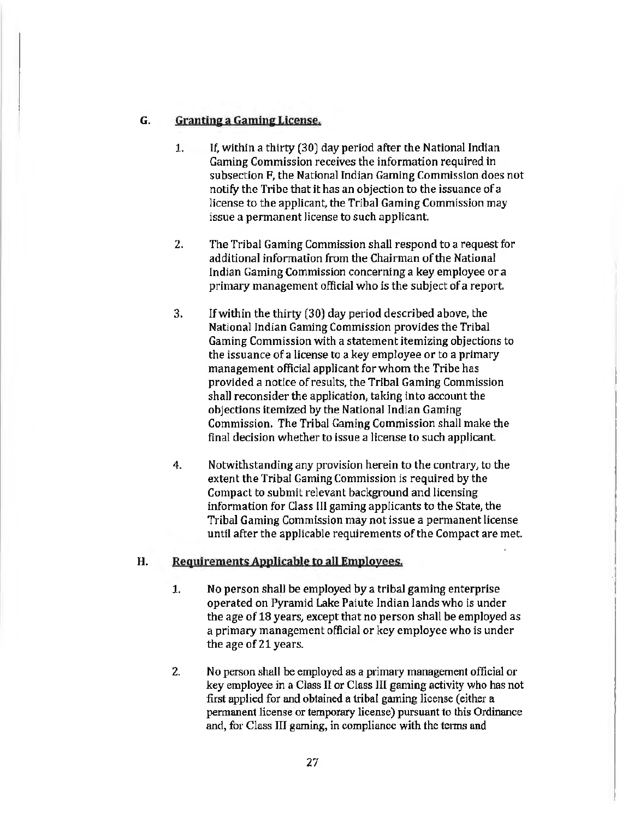# G. Grantine a Gamine License.

- 1. If, within a thirty (30) day period after the National Indian Gaming Commission receives the information required in subsection F, the National Indian Gaming Commission does not notify the Tribe that it has an objection to the issuance of a license to the applicant, the Tribal Gaming Commission may issue a permanent license to such applicant.
- 2. The Tribal Gaming Commission shall respond to a request for additional information from the Chairman of the National Indian Gaming Commission concerning a key employee or a primary management official who is the subject of a report.
- 3. If within the thirty (30) day period described above, the National Indian Gaming Commission provides the Tribal Gaming Commission with a statement itemizing objections to the issuance of a license to a key employee or to a primary management official applicant for whom the Tribe has provided a notice of results, the Tribal Gaming Commission shall reconsider the application, taking into account the objections itemized by the National Indian Gaming Commission. The Tribal Gaming Commission shall make the final decision whether to issue a license to such applicant.
- 4. Notwithstanding any provision herein to the contrary, to the extent the Tribal Gaming Commission is required by the Compact to submit relevant background and licensing information for Class III gaming applicants to the State, the Tribal Gaming Commission may not issue a permanent license until after the applicable requirements of the Compact are met.

# H. Requirements Applicable to all Employees.

- 1. No person shall be employed by a tribal gaming enterprise operated on Pyramid Lake Paiute Indian lands who is under the age of 18 years, except that no person shall be employed as a primary management official or key employee who is under the age of 21 years.
- 2. No person shall be employed as a primary management official or key employee in a Class 11 or Class III gaming activity who has not first applied for and obtained a tribal gaming license (either a permanent license or temporary license) pursuant to this Ordinance and, for Class III gaming, in compliance with the terms and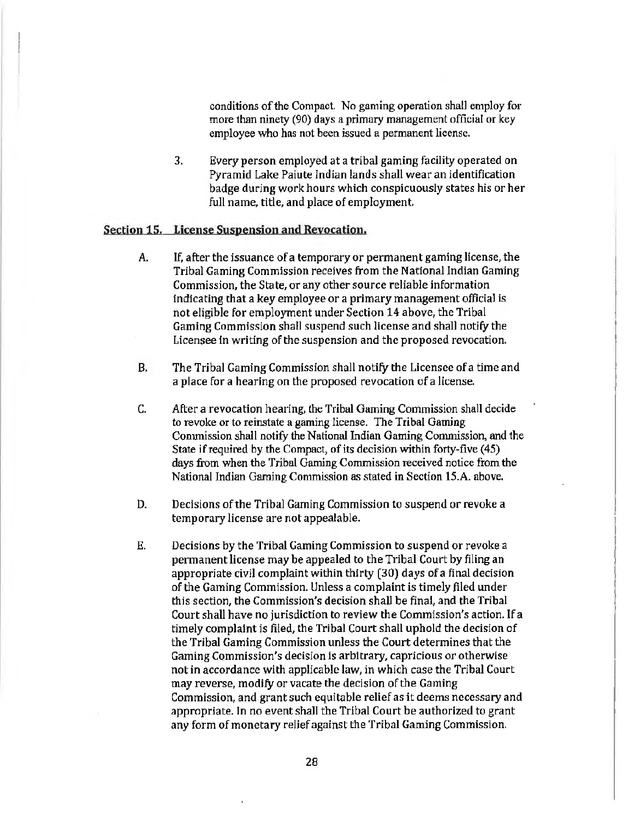conditions of the Compact. No gaming operation shall employ for more than ninety (90) days a primary management official or key employee who has not been issued a permanent license.

3. Every person employed at a tribal gaming facility operated on Pyramid Lake Paiute Indian lands shall wear an identification badge during work hours which conspicuously states his or her full name, title, and place of employment.

#### Section 15. License Suspension and Revocation.

- A. If, after the issuance of a temporary or permanent gaming license, the Tribal Gaming Commission receives from the National Indian Gaming Commission, the State, or any other source reliable information indicating that a key employee or a primary management official is not eligible for employment under Section 14 above, the Tribal Gaming Commission shall suspend such license and shall notify the Licensee in writing of the suspension and the proposed revocation.
- B. The Tribal Gaming Commission shall notify the Licensee of a time and a place for a hearing on the proposed revocation of a license.
- C. After a revocation hearing, the Tribal Gaming Commission shall decide to revoke or to reinstate a gaming license. The Tribal Gaming Commission shall notify the National Indian Gaming Commission, and the State if required by the Compact, of its decision within forty-five (45) days from when the Tribal Gaming Commission received notice from the National Indian Gaming Commission as stated in Section 15.A. above.
- D. Decisions of the Tribal Gaming Commission to suspend or revoke a temporary license are not appealable.
- E. Decisions by the Tribal Gaming Commission to suspend or revoke a permanent license may be appealed to the Tribal Court by filing an appropriate civil complaint within thirty (30) days of a final decision of the Gaming Commission. Unless a complaint is timely filed under this section, the Commission's decision shall be final, and the Tribal Court shall have no jurisdiction to review the Commission's action. If a timely complaint is filed, the Tribal Court shall uphold the decision of the Tribal Gaming Commission unless the Court determines that the Gaming Commission's decision is arbitrary, capricious or otherwise not in accordance with applicable law, in which case the Tribal Court may reverse, modify or vacate the decision of the Gaming Commission, and grant such equitable relief as it deems necessary and appropriate. In no event shall the Tribal Court be authorized to grant any form of monetary relief against the Tribal Gaming Commission.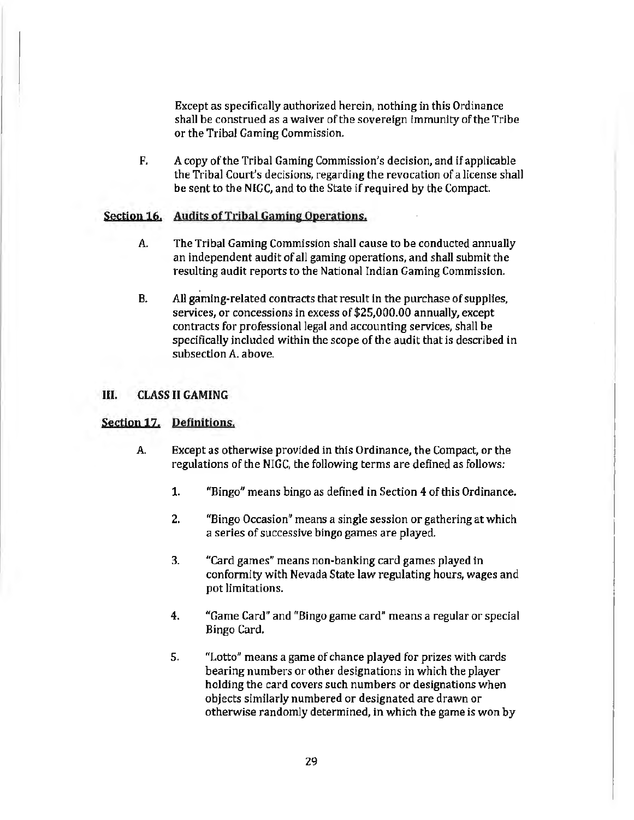Except as specifically authorized herein, nothing in this Ordinance shall be construed as a waiver of the sovereign immunity of the Tribe or the Tribal Gaming Commission.

F. A copy of the Tribal Gaming Commission's decision, and if applicable the Tribal Court's decisions, regarding the revocation of a license shall be sent to the NIGC, and to the State if required by the Compact.

# Section 16. Audits of Tribal Gaming Operations.

- A. The Tribal Gaming Commission shall cause to be conducted annually an independent audit of all gaming operations, and shall submit the resulting audit reports to the National Indian Gaming Commission.
- B. AH gaming-related contracts that result in the purchase of supplies, services, or concessions in excess of \$25,000.00 annually, except contracts for professional legal and accounting services, shall be specifically included within the scope of the audit that is described in subsection A. above.

# Ill. CLASS II GAMING

# Section 17. Definitions.

- A Except as otherwise provided in this Ordinance, the Compact, or the regulations of the NIGC, the following terms are defined as follows:
	- 1. "Bingo" means bingo as defined in Section 4 of this Ordinance.
	- 2. "Bingo Occasion" means a single session or gathering at which a series of successive bingo games are played.
	- 3. "Card games" means non-banking card games played in conformity with Nevada State law regulating hours, wages and pot limitations.
	- 4. "Game Card" and "Bingo game card" means a regular or special Bingo Card.
	- 5. "Lotto" means a game of chance played for prizes with cards bearing numbers or other designations in which the player holding the card covers such numbers or designations when objects similarly numbered or designated are drawn or otherwise randomly determined, in which the game is won by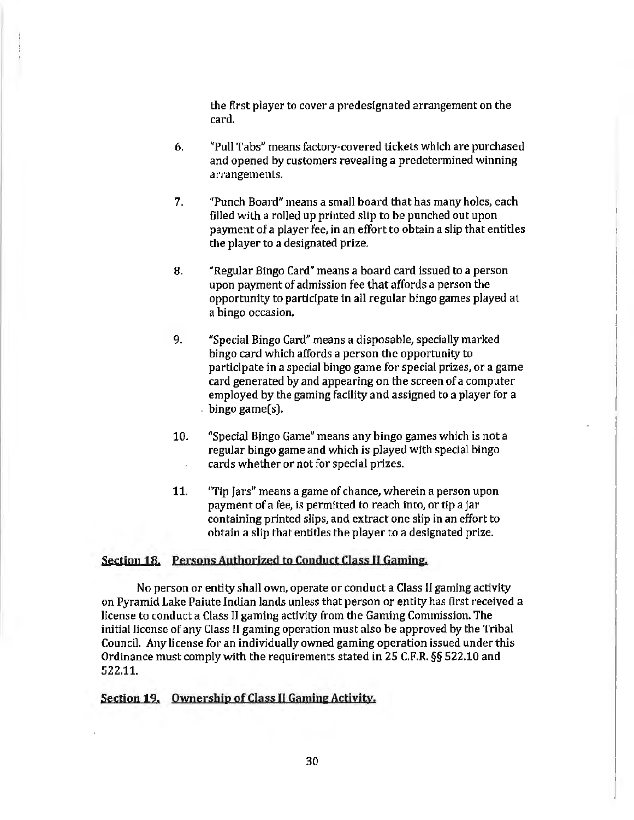the first player to cover a predesignated arrangement on the card.

- 6. "Pull Tabs" means factory-covered tickets which are purchased and opened by customers revealing a predetermined winning arrangements.
- 7. "Punch Board" means a small board that has many holes, each filled with a rolled up printed slip to be punched out upon payment of a player fee, in an effort to obtain a slip that entitles the player to a designated prize.
- 8. "Regular Bingo Card" means a board card issued to a person upon payment of admission fee that affords a person the opportunity to participate in all regular bingo games played at a bingo occasion.
- 9. "Special Bingo Card" means a disposable, specially marked bingo card which affords a person the opportunity to participate in a special bingo game for special prizes, or a game card generated by and appearing on the screen of a computer employed by the gaming facility and assigned to a player for a . bingo game(s).
- 10. "Special Bingo Game" means any bingo games which is not a regular bingo game and which is played with special bingo cards whether or not for special prizes.
- 11. "Tip jars" means a game of chance, wherein a person upon payment of a fee, is permitted to reach into, or tip a jar containing printed slips, and extract one slip in an effort to obtain a slip that entitles the player to a designated prize.

# Section 18. Persons Authorized to Conduct Class II Gaming.

No person or entity shall own, operate or conduct a Class II gaming activity on Pyramid Lake Paiute Indian lands unless that person or entity has first received a license to conduct a Class II gaming activity from the Gaming Commission. The initial license of any Class II gaming operation must also be approved by the Tribal Council. Any license for an individually owned gaming operation issued under this Ordinance must comply with the requirements stated in 25 C.F.R. §§ 522.10 and 522.11.

# Section 19. Ownership of Class II Gaming Activity.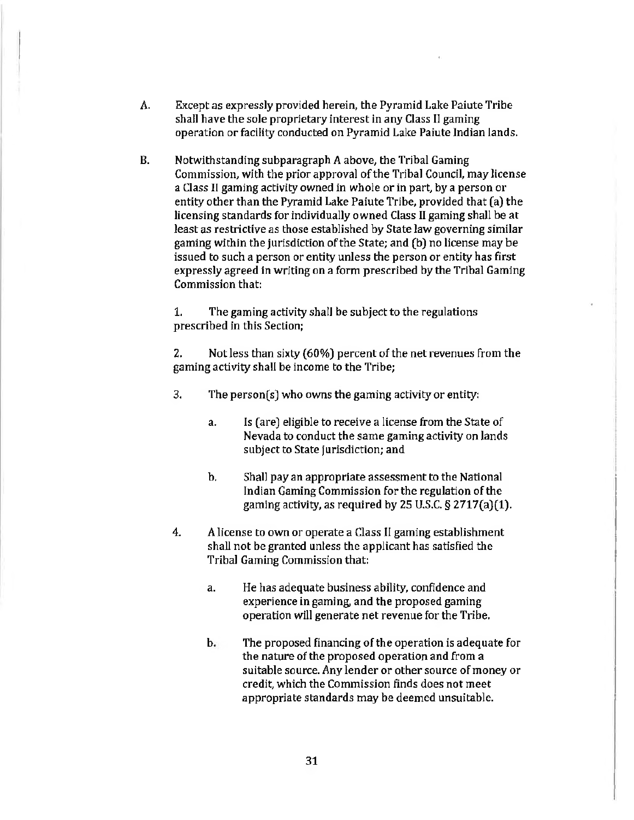- A. Except as expressly provided herein, the Pyramid Lake Paiute Tribe shall have the sole proprietary interest in any Class II gaming operation or faciltty conducted on Pyramid Lake Paiute Indian lands.
- B. Notwithstanding subparagraph A above, the Tribal Gaming Commission, with the prior approval of the Tribal Council, may license a Class II gaming activity owned in whole or in part, by a person or entity other than the Pyramid Lake Paiute Tribe, provided that (a) the licensing standards for individually owned Class II gaming shall be at least as restrictive as those established by State law governing similar gaming within the jurisdiction of the State; and (b) no license may be issued to such a person or entity unless the person or entity has first expressly agreed in writing on a form prescribed by the Tribal Gaming Commission that:

1. The gaming activity shall be subject to the regulations prescribed in this Section;

2. Not less than sixty (60%) percent of the net revenues from the gaming activity shall be income to the Tribe;

- 3. The person(s) who owns the gaming activity or entity:
	- a. Is (are) eligible to receive a license from the State of Nevada to conduct the same gaming activity on lands subject to State jurisdiction; and
	- b. Shall pay an appropriate assessment to the National Indian Gaming Commission for the regulation of the gaming activity, as required by 25 U.S.C. *§* 2717(a)(1).
- 4. A license to own or operate a Class II gaming establishment shall not be granted unless the applicant has satisfied the Tribal Gaming Commission that:
	- a. He has adequate business ability, confidence and experience in gaming, and the proposed gaming operation will generate net revenue for the Tribe.
	- b. The proposed financing of the operation is adequate for the nature of the proposed operation and from a suitable source. Any lender or other source of money or credit, which the Commission finds does not meet appropriate standards may be deemed unsuitable.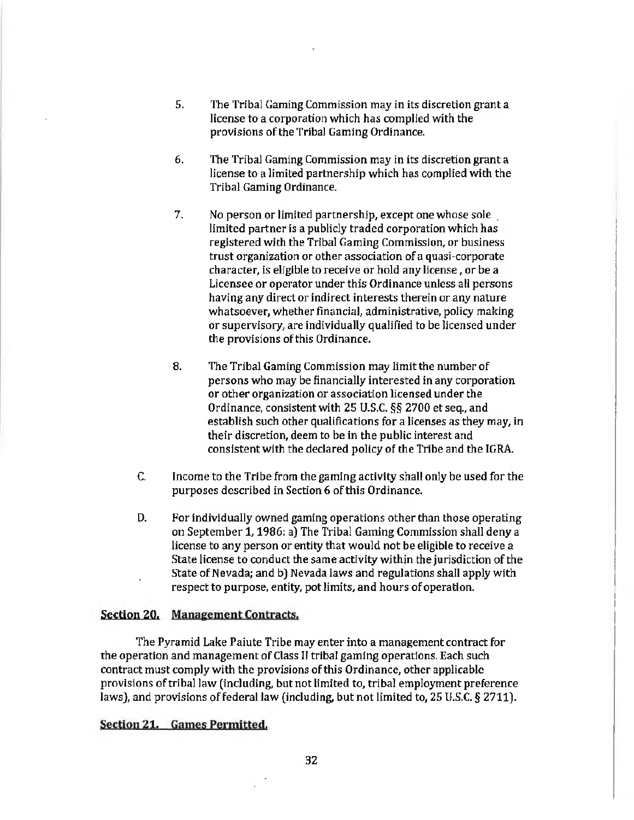- 5. The Tribal Gaming Commission may in its discretion grant a license to a corporation which has complied with the provisions of the Tribal Gaming Ordinance.
- 6. The Tribal Gaming Commission may in its discretion grant a license to a limited partnership which has complied with the Tribal Gaming Ordinance.
- 7. No person or limited partnership, except one whose sole . limited partner is a publicly traded corporation which has registered with the Tribal Gaming Commission, or business trust organization or other association of a quasi-corporate character, is eligible to receive or hold any license, or be a Licensee or operator under this Ordinance unless all persons having any direct or indirect interests therein or any nature whatsoever, whether financial, administrative, policy making or supervisory, are individually qualified to be licensed under the provisions of this Ordinance.
- 8. The Tribal Gaming Commission may limit the number of persons who may be financially interested in any corporation or other organization or association licensed under the Ordinance, consistent with 25 U.S.C. *§§* 2700 et seq., and establish such other qualifications for a licenses as they may, in their discretion, deem to be in the public interest and consistent with the declared policy of the Tribe and the IGRA
- C. Income to the Tribe from the gaming activity shall only be used for the purposes described in Section 6 of this Ordinance.
- D. For individually owned gaming operations other than those operating on September 1, 1986: a) The Tribal Gaming Commission shall deny a license to any person or entity that would not be eligible to receive a State license to conduct the same activity within the jurisdiction of the State of Nevada; and b) Nevada laws and regulations shall apply with respect to purpose, entity, pot limits, and hours of operation.

#### Section 20. Management Contracts.

The Pyramid Lake Paiute Tribe may enter into a management contract for the operation and management of Class II tribal gaming operations. Each such contract must comply with the provisions of this Ordinance, other applicable provisions of triba] law (including, but not limited to, tribal employment preference laws), and provisions of federal law (including, but not limited to,  $25$  U.S.C. § 2711).

#### Section 21. Games Permitted.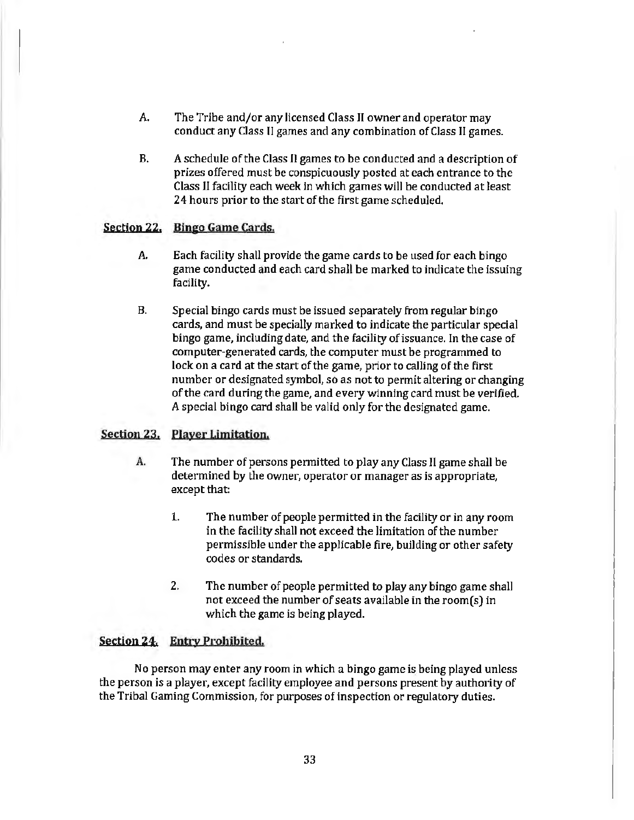- A. The Tribe and/or any licensed Class II owner and operator may conduct any Class II games and any combination of Class II games.
- B. A schedule of the Class Il games to be conducted and a description of prizes offered must be conspicuously posted at each entrance to the Class JI facility each week in which games will be conducted at least 24 hours prior to the start of the first game scheduled.

#### Section 22. Bingo Game Cards.

- A. Each facility shall provide the game cards to be used for each bingo game conducted and each card shall be marked to indicate the issuing facility.
- B. Special bingo cards must be issued separately from regular bingo cards, and must be specially marked to indicate the particular special bingo game, including date, and the facility of issuance. In the case of computer-generated cards, the computer must be programmed to lock on a card at the start of the game, prior to calling of the first number or designated symbol, so as not to permit altering or changing of the card during the game, and every winning card must be verified. A special bingo card shall be valid only for the designated game.

# Section 23. Player Limitation.

- A. The number of persons permitted to play any Class II game shall be determined by the owner, operator or manager as is appropriate, except that:
	- 1. The number of people permitted in the facility or in any room in the facility shall not exceed the limitation of the number permissible under the applicable fire, building or other safety codes or standards.
	- 2. The number of people permitted to play any bingo game shall not exceed the number of seats available in the room(s) in which the game is being played.

# Section 24. Entry Prohibited.

No person may enter any room in which a bingo game is being played unless the person is a player, except facility employee and persons present by authority of the Tribal Gaming Commission, for purposes of inspection or regulatory duties.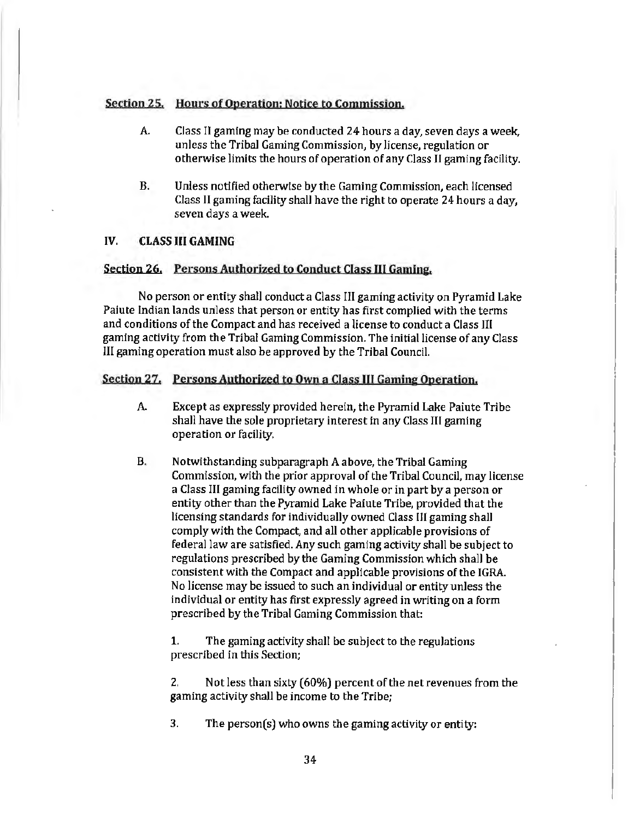# Section 25. Hours of Operation; Notice to Commission.

- *A.* Class II gaming may be conducted 24 hours a day, seven days a week, unless the Tribal Gaming Commission, by license, regulation or otherwise limits the hours of operation of any Class II gaming facility.
- B. Unless notified otherwise by the Gaming Commission, each licensed Class II gaming facility shall have the right to operate 24 hours a day, seven days a week.

# IV. CLASS III GAMING

#### Section 26. Persons Authorized to Conduct Class III Gaming.

No person or entity shall conduct a Class III gaming activity on Pyramid Lake Pafute Indian lands unless that person or entity has first complied with the terms and conditions of the Compact and has received a license to conduct a Class III gaming activity from the Tribal Gaming Commission. The initial license of any Class III gaming operation must also be approved by the Tribal Council.

### Section 27. Persons Authorized to Own a Class III Gaming Operation.

- A. Except as expressly provided herein, the Pyramid Lake Paiute Tribe shall have the sole proprietary interest in any Class III gaming operation or facility.
- B. Notwithstanding subparagraph A above, the Tribal Gaming Commission, with the prior approval of the Tribal Council, may license a Class III gaming facility owned in whole or in part by a person or entity other than the Pyramid Lake Paiute Tribe, provided that the licensing standards for individually owned Class III gaming shall comply with the Compact, and all other applicable provisions of federal law are satisfied. Any such gaming activity shall be subject to regulations prescribed by the Gaming Commission which shall be consistent with the Compact and applicable provisions of the IGRA. No license may be issued to such an individual or entity unless the individual or entity has first expressly agreed in writing on a form prescribed by the Tribal Gaming Commission that:

1. The gaming activity shall be subject to the regulations prescribed in this Section;

2. Not less than sixty (60%) percent of the net revenues from the gaming activity shall be income to the Tribe;

3. The person(s) who owns the gaming activity or entity: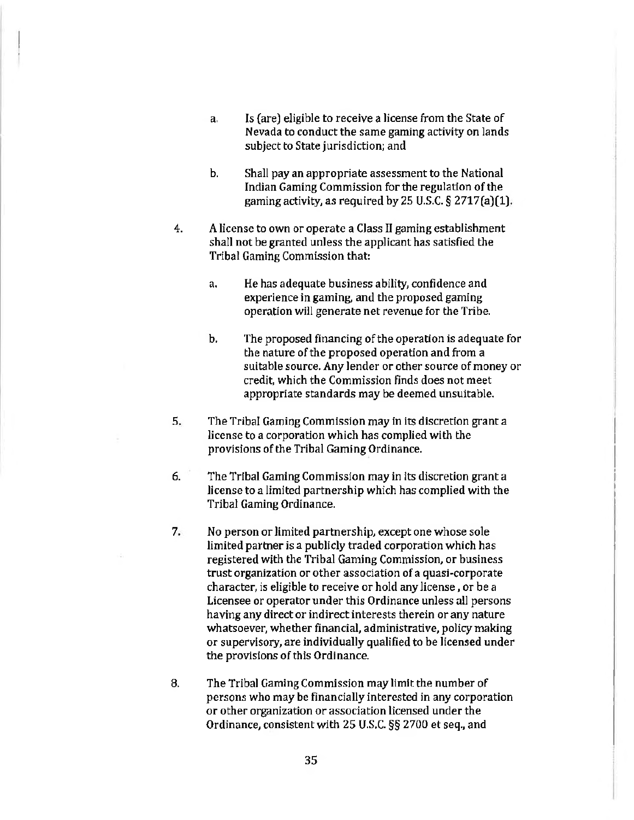- a. Is (are) eligible to receive a license from the State of Nevada to conduct the same gaming activity on lands subject to State jurisdiction; and
- b. Shall pay an appropriate assessment to the National Indian Gaming Commission for the regulation of the gaming activity, as required by 25 U.S.C.  $\S$  2717(a)(1).
- 4. A license to own or operate a Class II gaming establishment shall not be granted unless the applicant has satisfied the Tribal Gaming Commission that:
	- a. He has adequate business ability, confidence and experience in gaming, and the proposed gaming operation will generate net revenue for the Tribe.
	- b. The proposed financing of the operation is adequate for the nature of the proposed operation and from a suitable source. Any lender or other source of money or credit, which the Commission finds does not meet appropriate standards may be deemed unsuitable.
- 5. The Tribal Gaming Commission may in its discretion grant a license to a corporation which has complied with the provisions of the Tribal Gaming Ordinance.
- 6. The Tribal Gaming Commission may in its discretion grant a license to a limited partnership which has complied with the Tribal Gaming Ordinance.
- 7. No person or Jimited partnership, except one whose sole limited partner is a publicly traded corporation which has registered with the Tribal Gaming Commission, or business trust organization or other association of a quasl·corporate character, is eligible to receive or hold any license, or be a Licensee or operator under this Ordinance unless all persons having any direct or indirect interests therein or any nature whatsoever, whether financial, administrative, policy making or supervisory, are individually qualified to be licensed under the provisions of this Ordinance.
- 8. The Tribal Gaming Commission may limit the number of persons who may be financially interested in any corporation or other organization or association licensed under the Ordinance, consistent with 25 U.S.C. §§ 2700 et seq., and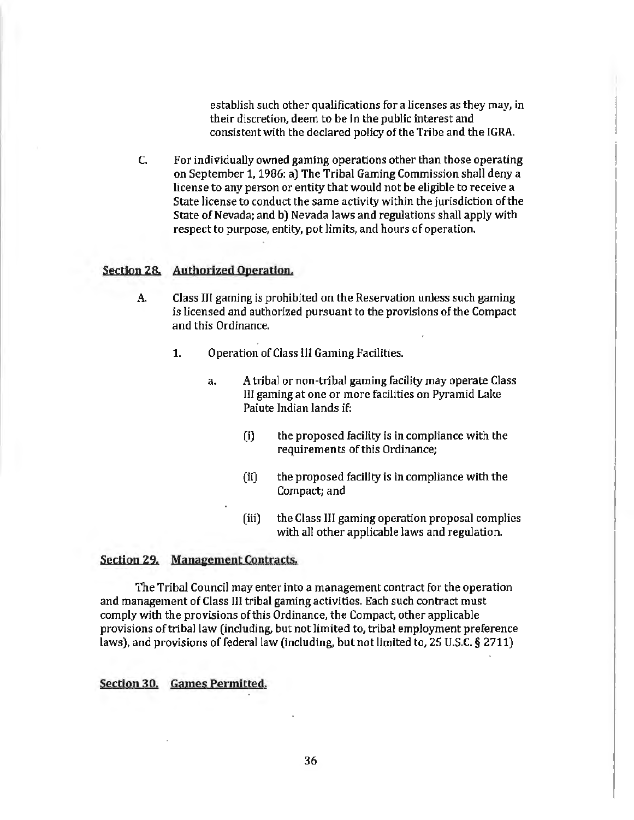establish such other qualifications for a licenses as they may, in their discretion, deem to be in the public interest and consistent with the declared policy of the Tribe and the IGRA.

C. For individually owned gamjng operations other than those operating on September 1, 1986: a) The Tribal Gaming Commission shall deny a license to any person or entity that would not be eligible to receive a State license to conduct the same activity within the jurisdiction of the State of Nevada; and b) Nevada laws and regulations shall apply with respect to purpose, entity, pot limits, and hours of operation.

# Section 28. Authorized Operation.

- A. Class IJI gaming is prohibited on the Reservation unless such gaming is licensed and authorized pursuant to the provisions of the Compact and this Ordinance.
	- 1. Operation of Class Ill Gaming Facilities.
		- a. A tribal or non-tribal gaming facility may operate Class HI gaming at one or more facilities on Pyramid Lake Paiute Indian lands if:
			- (i) the proposed facility is in compliance with the requirements of this Ordinance;
			- (ii) the proposed facility is in compliance with the Compact; and
			- (iii) the Class III gaming operation proposal complies with all other applicable laws and regulation.

#### Section 29. Management Contracts.

The Tribal Council may enter into a management contract for the operation and management of Class III tribal gaming activities. Each such contract must comply with the provisions of this Ordinance, the Compact, other applicable provisions of tribal law (including, but not limited to, tribal employment preference laws), and provisions of federal law (including, but not limited to, 25 U.S.C. § 2711)

#### Section 30. Games Permitted.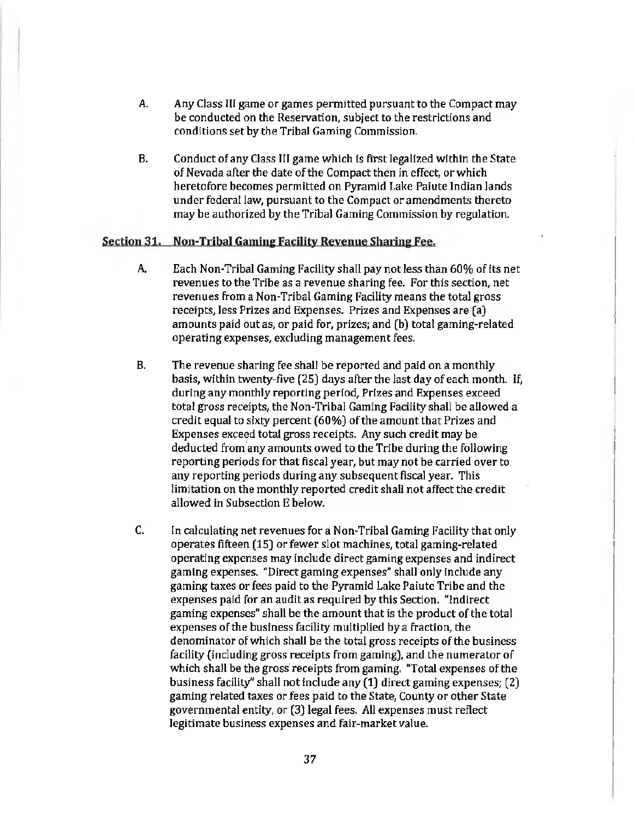- A. Any Class Ill game or games permitted pursuant to the Compact may be conducted on the Reservation, subject to the restrictions and conditions set by the Tribal Gaming Commission.
- B. Conduct of any Class III game which is first legalized within the State of Nevada after the date of the Compact then in effect, or which heretofore becomes permitted on Pyramid Lake Paiute Indian lands under federal law, pursuant to the Compact or amendments thereto may be authorized by the Tribal Gaming Commission by regulation.

#### Section 31. Non-Tribal Gamine Facility Revenue Sharine Fee.

- A. Each Non-Tribal Gaming Facility shall pay not less than 60% of its net revenues to the Tribe as a revenue sharing fee. For this section, net revenues from a Non-Tribal Gaming Facility means the total gross receipts, less Prizes and Expenses. Prizes and Expenses are (a) amounts paid out as, or paid for, prizes; and (b) total gaming-related operating expenses, excluding management fees.
- B. The revenue sharing fee shall be reported and paid on a monthly basis, within twenty-five (25) days after the last day of each month. If, during any monthly reporting period, Prizes and Expenses exceed total gross receipts, the Non-Tribal Gaming Facility shall be allowed a credit equal to sixty percent (60%) of the amount that Prizes and Expenses exceed total gross receipts. Any such credit may be deducted from any amounts owed to the Tribe during the following reporting periods for that fiscal year, but may not be carried over to any reporting periods during any subsequent fiscal year. This limitation on the monthly reported credit shall not affect the credit allowed in Subsection E below.
- C. In calculating net revenues for a Non-Tribal Gaming Facility that only operates fifteen (15) or fewer slot machines, total gaming-related operating expenses may include direct gaming expenses and indirect gaming expenses. "Direct gaming expenses" shall only include any gaming taxes or fees paid to the Pyramid Lake Paiute Tribe and the expenses paid for an audit as required by this Section. "Indirect gaming expenses" shall be the amount that is the product of the total expenses of the business facility multiplied by a fraction, the denominator of which shall be the total gross receipts of the business facility (including gross receipts from gaming), and the numerator of which shall be the gross receipts from gaming. "Total expenses of the business facility" shall not include any (1) direct gaming expenses; (2) gaming related taxes or fees paid to the State, County or other State governmental entity, or (3) legal fees. All expenses must reflect legitimate business expenses and fair-market value.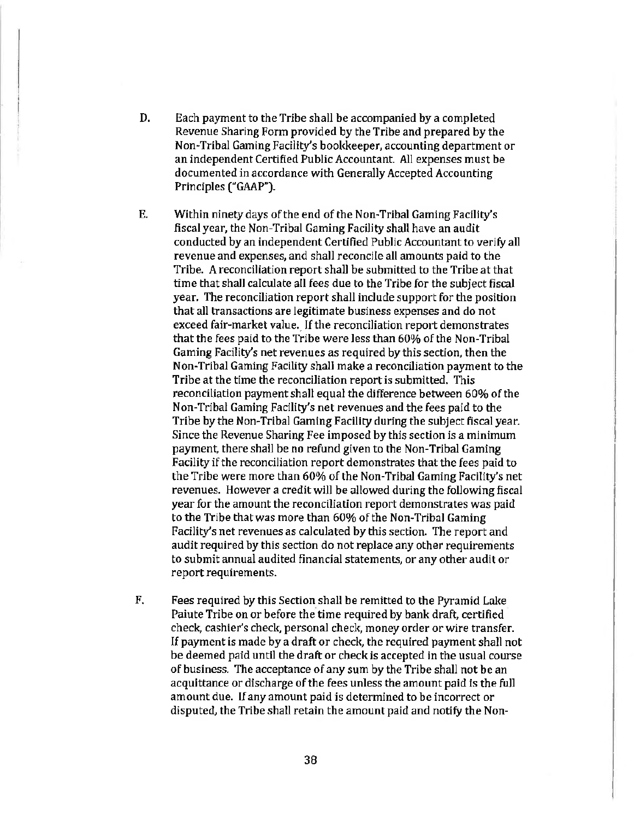- D. Each payment to the Tribe shall be accompanied by a completed Revenue Sharing Form provided by the Tribe and prepared by the Non-Tribal Gaming Facility's bookkeeper, accounting department or an independent Certified Public Accountant. All expenses must be documented in accordance with Generally Accepted Accounting Principles ("GAAP").
- E. Within ninety days of the end of the Non-Tribal Gaming Facility's fiscal year, the Non-Tribal Gaming Facility shall have an audit conducted by an independent Certified Public Accountant to verify all revenue and expenses, and shall reconcile all amounts paid to the Tribe. A reconciliation report shall be submitted to the Tribe at that time that shall calculate all fees due to the Tribe for the subject fiscal year. The reconciliation report shall indude support for the position that all transactions are legitimate business expenses and do not exceed fair-market value. If the reconciliation report demonstrates that the fees paid to the Tribe were less than 60% of the Non-Tribal Gaming Facility's net revenues as required by this section, then the Non-Tribal Gaming Facility shall make a reconciliation payment to the Tribe at the time the reconciliation report is submitted. This reconciliation payment shall equal the difference between 60% of the Non-Tribal Gaming Facility's net revenues and the fees paid to the Tribe by the Non-Tribal Gaming Facility during the subject fiscal year. Since the Revenue Sharing Fee imposed by this section is a minimum payment, there shall be no refund given to the Non-Tribal Gaming Facility if the reconciliation report demonstrates that the fees paid to the Tribe were more than 60% of the Non-Tribal Gaming Facility's net revenues. However a credit will be allowed during the following fiscal year for the amount the reconciliation report demonstrates was paid to the Tribe that was more than 60% of the Non· Tribal Gaming Facility's net revenues as calculated by this section. The report and audit required by this section do not replace any other requirements to submit annual audited financial statements, or any other audit or report requirements.
- F. Fees required by this Section shall be remitted to the Pyramid Lake Paiute Tribe on or before the time required by bank draft, certified check, cashier's check, personal check, money order or wire transfer. If payment is made by a draft or check, the required payment shall not be deemed paid until the draft or check is accepted in the usual course of business. The acceptance of any sum by the Tribe shall not be an acquittance or discharge of the fees unless the amount paid is the full amount due. If any amount paid is determined to be incorrect or disputed, the Tribe shall retain the amount paid and notify the Non-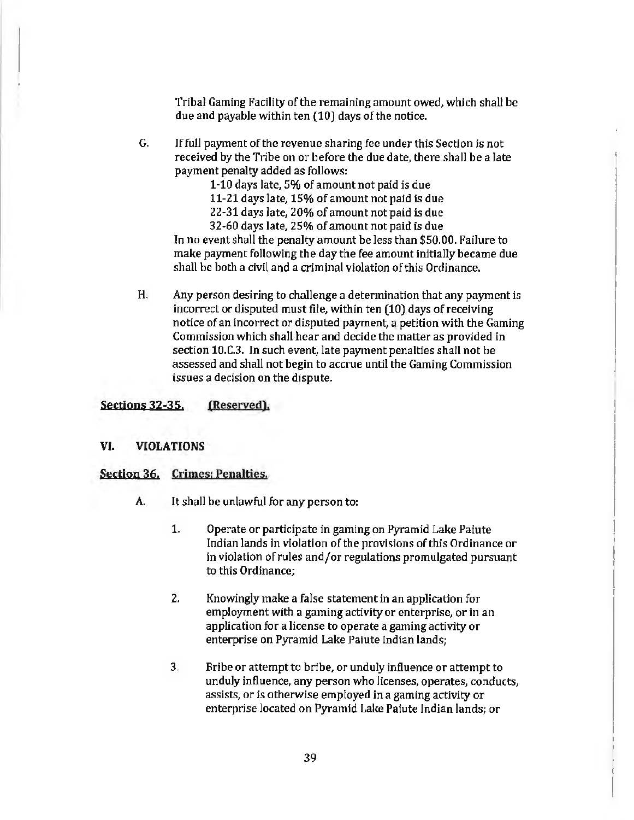Tribal Gaming Facility of the remaining amount owed, which shall be due and payable within ten (10) days of the notice.

- G. If full payment of the revenue sharing fee under this Section is not received by the Tribe on or before the due date, there shall be a late payment penalty added as follows:
	- 1-10 days late, 5% of amount not paid is due
	- 11-21 days late, 15% of amount not paid is due
	- 22-31 days late, 20% of amount not paid is due
	- 32-60 days late, 25% of amount not paid is due

In no event shall the penalty amount be less than \$50.00. Failure to make payment following the day the fee amount initially became due shall be both a civil and a criminal violation of this Ordinance.

H. Any person desiring to challenge a determination that any payment is incorrect or disputed must file, within ten (10) days of receiving notice of an incorrect or disputed payment, a petition with the Gaming Commission which shall hear and decide the matter as provided in section 10.C.3. In such event, late payment penalties shall not be assessed and shall not begin to accrue until the Gaming Commission issues a decision on the dispute.

# Sections 32-35. (Reserved).

#### VI. VIOLATIONS

#### Section 36. Crimes: Penalties.

- A. It shall be unlawful for any person to:
	- 1. Operate or participate in gaming on Pyramid Lake Paiute Indian lands in violation of the provisions of this Ordinance or in violation of rules and/or regulations promulgated pursuant to this Ordinance;
	- 2. Knowingly make a false statement in an application for employment with a gaming activity or enterprise, or in an application for a license to operate a gaming activity or enterprise on Pyramid Lake Paiute Indian lands;
	- 3. Bribe or attempt to bribe, or unduly influence or attempt to unduly influence, any person who licenses, operates, conducts, assists, or is otherwise employed in a gaming activity or enterprise located on Pyramid Lake Paiute Indian lands; or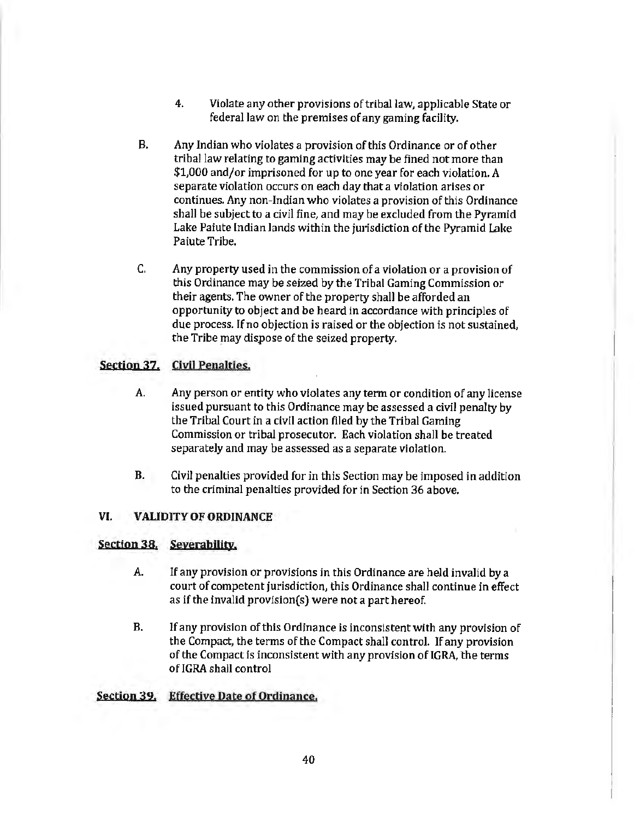- 4. Violate any other provisions of tribal law, applicable State or federal law on the premises of any gaming facility.
- B. Any Indian who violates a provision of this Ordinance or of other tribal law relating to gaming activities may be fined not more than \$1,000 and/or imprisoned for up to one year for each violation. *A*  separate violation occurs on each day that a violation arises or continues. Any non-Indian who violates a provision of this Ordinance shall be subject to a civil fine, and may be excluded from the Pyramid Lake Paiute Indian lands within the jurisdiction of the Pyramid Lake Paiute Tribe.
- C. Any property used in the commission of a violation or a provision of this Ordinance may be seized by the Tribal Gaming Commission or their agents. The owner of the property shall be afforded an opportunity to object and be heard in accordance with principles of due process. If no objection is raised or the objection is not sustained, the Tribe may dispose of the seized property.

# Section 37, Civil Penalties.

- A. Any person or entity who violates any term or condition of any license issued pursuant to this Ordinance may be assessed a civil penalty by the Tribal Court in a civil action filed by the Tribal Gaming Commission or tribal prosecutor. Each violation shall be treated separately and may be assessed as a separate violation.
- B. Civil penalties provided for in this Section may be imposed in addition to the criminal penalties provided for in Section 36 above.

# VI. VALIDITY OF ORDINANCE

# Section 38. Severability.

- A. If any provision or provisions in this Ordinance are held invalid by a court of competent jurisdiction, this Ordinance shall continue in effect as if the invalid provision(s) were not a part hereof.
- B. If any provision of this Ordinance is inconsistent with any provision of the Compact, the terms of the Compact shal1 control. If any provision of the Compact is inconsistent with any provision of IGRA, 'the terms of IGRA shall control

# Section 39. Effective Date of Ordinance.